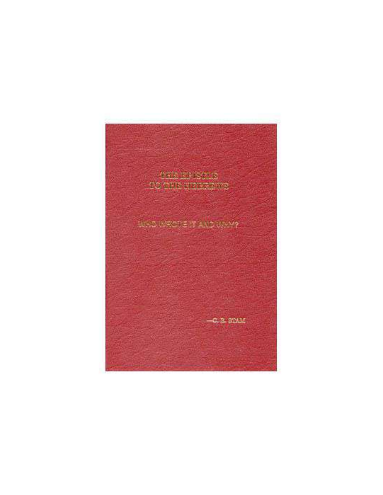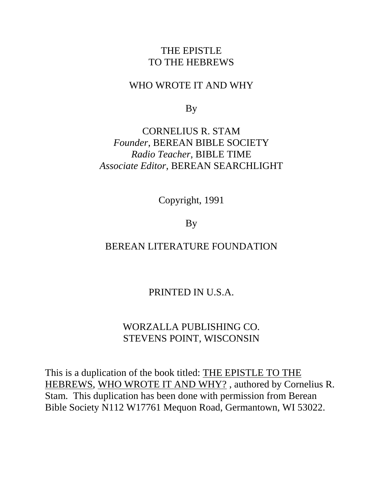# THE EPISTLE TO THE HEBREWS

# WHO WROTE IT AND WHY

By

# CORNELIUS R. STAM *Founder*, BEREAN BIBLE SOCIETY *Radio Teacher*, BIBLE TIME *Associate Editor*, BEREAN SEARCHLIGHT

Copyright, 1991

By

# BEREAN LITERATURE FOUNDATION

# PRINTED IN U.S.A.

# WORZALLA PUBLISHING CO. STEVENS POINT, WISCONSIN

This is a duplication of the book titled: THE EPISTLE TO THE HEBREWS, WHO WROTE IT AND WHY? , authored by Cornelius R. Stam. This duplication has been done with permission from Berean Bible Society N112 W17761 Mequon Road, Germantown, WI 53022.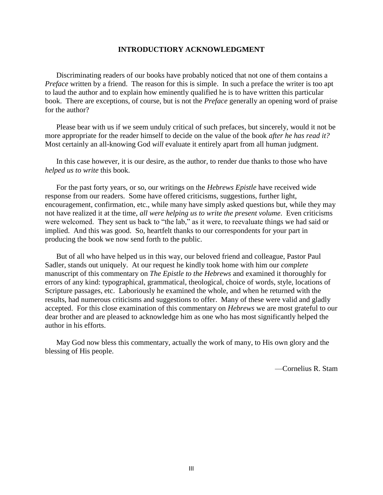#### **INTRODUCTIORY ACKNOWLEDGMENT**

Discriminating readers of our books have probably noticed that not one of them contains a *Preface* written by a friend. The reason for this is simple. In such a preface the writer is too apt to laud the author and to explain how eminently qualified he is to have written this particular book. There are exceptions, of course, but is not the *Preface* generally an opening word of praise for the author?

Please bear with us if we seem unduly critical of such prefaces, but sincerely, would it not be more appropriate for the reader himself to decide on the value of the book *after he has read it?* Most certainly an all-knowing God *will* evaluate it entirely apart from all human judgment.

In this case however, it is our desire, as the author, to render due thanks to those who have *helped us to write* this book.

For the past forty years, or so, our writings on the *Hebrews Epistle* have received wide response from our readers. Some have offered criticisms, suggestions, further light, encouragement, confirmation, etc., while many have simply asked questions but, while they may not have realized it at the time, *all were helping us to write the present volume*. Even criticisms were welcomed. They sent us back to "the lab," as it were, to reevaluate things we had said or implied. And this was good. So, heartfelt thanks to our correspondents for your part in producing the book we now send forth to the public.

But of all who have helped us in this way, our beloved friend and colleague, Pastor Paul Sadler, stands out uniquely. At our request he kindly took home with him our *complete* manuscript of this commentary on *The Epistle to the Hebrews* and examined it thoroughly for errors of any kind: typographical, grammatical, theological, choice of words, style, locations of Scripture passages, etc. Laboriously he examined the whole, and when he returned with the results, had numerous criticisms and suggestions to offer. Many of these were valid and gladly accepted. For this close examination of this commentary on *Hebrews* we are most grateful to our dear brother and are pleased to acknowledge him as one who has most significantly helped the author in his efforts.

May God now bless this commentary, actually the work of many, to His own glory and the blessing of His people.

—Cornelius R. Stam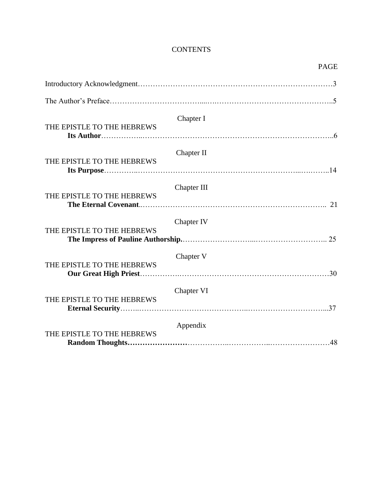# **CONTENTS**

|                            |             | <b>PAGE</b> |
|----------------------------|-------------|-------------|
|                            |             |             |
|                            |             |             |
| THE EPISTLE TO THE HEBREWS | Chapter I   |             |
| THE EPISTLE TO THE HEBREWS | Chapter II  |             |
| THE EPISTLE TO THE HEBREWS | Chapter III |             |
| THE EPISTLE TO THE HEBREWS | Chapter IV  |             |
| THE EPISTLE TO THE HEBREWS | Chapter V   |             |
| THE EPISTLE TO THE HEBREWS | Chapter VI  |             |
| THE EPISTLE TO THE HEBREWS | Appendix    |             |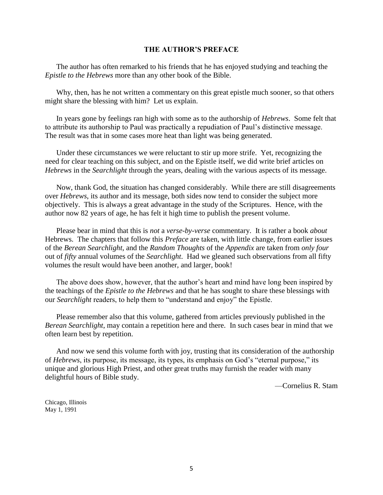#### **THE AUTHOR'S PREFACE**

The author has often remarked to his friends that he has enjoyed studying and teaching the *Epistle to the Hebrews* more than any other book of the Bible.

Why, then, has he not written a commentary on this great epistle much sooner, so that others might share the blessing with him? Let us explain.

In years gone by feelings ran high with some as to the authorship of *Hebrews*. Some felt that to attribute its authorship to Paul was practically a repudiation of Paul's distinctive message. The result was that in some cases more heat than light was being generated.

Under these circumstances we were reluctant to stir up more strife. Yet, recognizing the need for clear teaching on this subject, and on the Epistle itself, we did write brief articles on *Hebrews* in the *Searchlight* through the years, dealing with the various aspects of its message.

Now, thank God, the situation has changed considerably. While there are still disagreements over *Hebrews*, its author and its message, both sides now tend to consider the subject more objectively. This is always a great advantage in the study of the Scriptures. Hence, with the author now 82 years of age, he has felt it high time to publish the present volume.

Please bear in mind that this is *not* a *verse-by-verse* commentary. It is rather a book *about* Hebrews. The chapters that follow this *Preface* are taken, with little change, from earlier issues of the *Berean Searchlight*, and the *Random Thoughts* of the *Appendix* are taken from *only four* out of *fifty* annual volumes of the *Searchlight*. Had we gleaned such observations from all fifty volumes the result would have been another, and larger, book!

The above does show, however, that the author's heart and mind have long been inspired by the teachings of the *Epistle to the Hebrews* and that he has sought to share these blessings with our *Searchlight* readers, to help them to "understand and enjoy" the Epistle.

Please remember also that this volume, gathered from articles previously published in the *Berean Searchlight*, may contain a repetition here and there. In such cases bear in mind that we often learn best by repetition.

And now we send this volume forth with joy, trusting that its consideration of the authorship of *Hebrews*, its purpose, its message, its types, its emphasis on God's "eternal purpose," its unique and glorious High Priest, and other great truths may furnish the reader with many delightful hours of Bible study.

—Cornelius R. Stam

Chicago, Illinois May 1, 1991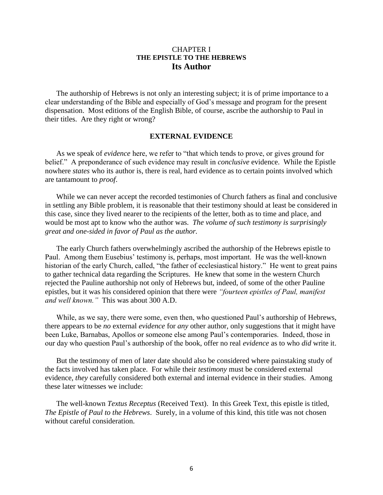# CHAPTER I **THE EPISTLE TO THE HEBREWS Its Author**

The authorship of Hebrews is not only an interesting subject; it is of prime importance to a clear understanding of the Bible and especially of God's message and program for the present dispensation. Most editions of the English Bible, of course, ascribe the authorship to Paul in their titles. Are they right or wrong?

#### **EXTERNAL EVIDENCE**

As we speak of *evidence* here, we refer to "that which tends to prove, or gives ground for belief." A preponderance of such evidence may result in *conclusive* evidence. While the Epistle nowhere *states* who its author is, there is real, hard evidence as to certain points involved which are tantamount to *proof*.

While we can never accept the recorded testimonies of Church fathers as final and conclusive in settling any Bible problem, it is reasonable that their testimony should at least be considered in this case, since they lived nearer to the recipients of the letter, both as to time and place, and would be most apt to know who the author was. *The volume of such testimony is surprisingly great and one-sided in favor of Paul as the author.*

The early Church fathers overwhelmingly ascribed the authorship of the Hebrews epistle to Paul. Among them Eusebius' testimony is, perhaps, most important. He was the well-known historian of the early Church, called, "the father of ecclesiastical history." He went to great pains to gather technical data regarding the Scriptures. He knew that some in the western Church rejected the Pauline authorship not only of Hebrews but, indeed, of some of the other Pauline epistles, but it was his considered opinion that there were *"fourteen epistles of Paul, manifest and well known."* This was about 300 A.D.

While, as we say, there were some, even then, who questioned Paul's authorship of Hebrews, there appears to be *no* external *evidence* for *any* other author, only suggestions that it might have been Luke, Barnabas, Apollos or someone else among Paul's contemporaries. Indeed, those in our day who question Paul's authorship of the book, offer no real *evidence* as to who *did* write it.

But the testimony of men of later date should also be considered where painstaking study of the facts involved has taken place. For while their *testimony* must be considered external evidence, *they* carefully considered both external and internal evidence in their studies. Among these later witnesses we include:

The well-known *Textus Receptus* (Received Text). In this Greek Text, this epistle is titled, *The Epistle of Paul to the Hebrews*. Surely, in a volume of this kind, this title was not chosen without careful consideration.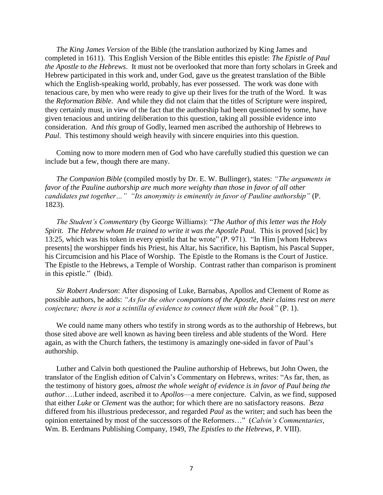*The King James Version* of the Bible (the translation authorized by King James and completed in 1611). This English Version of the Bible entitles this epistle: *The Epistle of Paul the Apostle to the Hebrews*. It must not be overlooked that more than forty scholars in Greek and Hebrew participated in this work and, under God, gave us the greatest translation of the Bible which the English-speaking world, probably, has ever possessed. The work was done with tenacious care, by men who were ready to give up their lives for the truth of the Word. It was the *Reformation Bible*. And while they did not claim that the titles of Scripture were inspired, they certainly must, in view of the fact that the authorship had been questioned by some, have given tenacious and untiring deliberation to this question, taking all possible evidence into consideration. And *this* group of Godly, learned men ascribed the authorship of Hebrews to *Paul*. This testimony should weigh heavily with sincere enquiries into this question.

Coming now to more modern men of God who have carefully studied this question we can include but a few, though there are many.

*The Companion Bible* (compiled mostly by Dr. E. W. Bullinger), states: *"The arguments in favor of the Pauline authorship are much more weighty than those in favor of all other candidates put together…" "Its anonymity is eminently in favor of Pauline authorship"* (P. 1823).

*The Student's Commentary* (by George Williams): "*The Author of this letter was the Holy Spirit. The Hebrew whom He trained to write it was the Apostle Paul.* This is proved [sic] by 13:25, which was his token in every epistle that he wrote" (P. 971). "In Him [whom Hebrews presents] the worshipper finds his Priest, his Altar, his Sacrifice, his Baptism, his Pascal Supper, his Circumcision and his Place of Worship. The Epistle to the Romans is the Court of Justice. The Epistle to the Hebrews, a Temple of Worship. Contrast rather than comparison is prominent in this epistle." (Ibid).

*Sir Robert Anderson*: After disposing of Luke, Barnabas, Apollos and Clement of Rome as possible authors, he adds: *"As for the other companions of the Apostle, their claims rest on mere conjecture; there is not a scintilla of evidence to connect them with the book"* (P. 1).

We could name many others who testify in strong words as to the authorship of Hebrews, but those sited above are well known as having been tireless and able students of the Word. Here again, as with the Church fathers, the testimony is amazingly one-sided in favor of Paul's authorship.

Luther and Calvin both questioned the Pauline authorship of Hebrews, but John Owen, the translator of the English edition of Calvin's Commentary on Hebrews, writes: "As far, then, as the testimony of history goes, *almost the whole weight of evidence is in favor of Paul being the author*….Luther indeed, ascribed it to *Apollos*—a mere conjecture. Calvin, as we find, supposed that either *Luke* or *Clement* was the author; for which there are no satisfactory reasons. *Beza* differed from his illustrious predecessor, and regarded *Paul* as the writer; and such has been the opinion entertained by most of the successors of the Reformers…" (*Calvin's Commentaries*, Wm. B. Eerdmans Publishing Company, 1949, *The Epistles to the Hebrews*, P. VIII).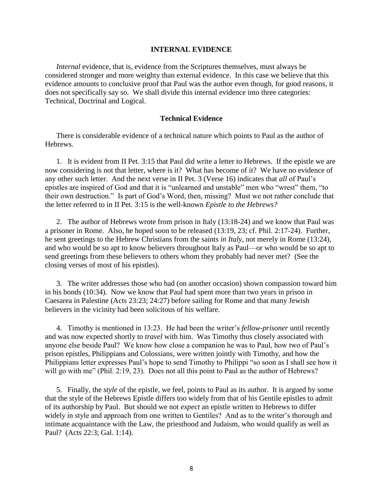#### **INTERNAL EVIDENCE**

*Internal* evidence, that is, evidence from the Scriptures themselves, must always be considered stronger and more weighty than external evidence. In this case we believe that this evidence amounts to conclusive proof that Paul was the author even though, for good reasons, it does not specifically say so. We shall divide this internal evidence into three categories: Technical, Doctrinal and Logical.

#### **Technical Evidence**

There is considerable evidence of a technical nature which points to Paul as the author of Hebrews.

1. It is evident from II Pet. 3:15 that Paul did write a letter to Hebrews. If the epistle we are now considering is not that letter, where is it? What has become of it? We have no evidence of any other such letter. And the next verse in II Pet. 3 (Verse 16) indicates that *all* of Paul's epistles are inspired of God and that it is "unlearned and unstable" men who "wrest" them, "to their own destruction." Is part of God's Word, then, missing? Must we not rather conclude that the letter referred to in II Pet. 3:15 is the well-known *Epistle to the Hebrews?*

2. The author of Hebrews wrote from prison in Italy (13:18-24) and we know that Paul was a prisoner in Rome. Also, he hoped soon to be released (13:19, 23; cf. Phil. 2:17-24). Further, he sent greetings to the Hebrew Christians from the saints *in Italy*, not merely in Rome (13:24), and who would be so apt to know believers throughout Italy as Paul—or who would be so apt to send greetings from these believers to others whom they probably had never met? (See the closing verses of most of his epistles).

3. The writer addresses those who had (on another occasion) shown compassion toward him in his bonds (10:34). Now we know that Paul had spent more than two years in prison in Caesarea in Palestine (Acts 23:23; 24:27) before sailing for Rome and that many Jewish believers in the vicinity had been solicitous of his welfare.

4. Timothy is mentioned in 13:23. He had been the writer's *fellow-prisoner* until recently and was now expected shortly to *travel* with him. Was Timothy thus closely associated with anyone else beside Paul? We know how close a companion he was to Paul, how two of Paul's prison epistles, Philippians and Colossians, were written jointly with Timothy, and how the Philippians letter expresses Paul's hope to send Timothy to Philippi "so soon as I shall see how it will go with me" (Phil. 2:19, 23). Does not all this point to Paul as the author of Hebrews?

5. Finally, the *style* of the epistle, we feel, points to Paul as its author. It is argued by some that the style of the Hebrews Epistle differs too widely from that of his Gentile epistles to admit of its authorship by Paul. But should we not *expect* an epistle written to Hebrews to differ widely in style and approach from one written to Gentiles? And as to the writer's thorough and intimate acquaintance with the Law, the priesthood and Judaism, who would qualify as well as Paul? (Acts 22:3; Gal. 1:14).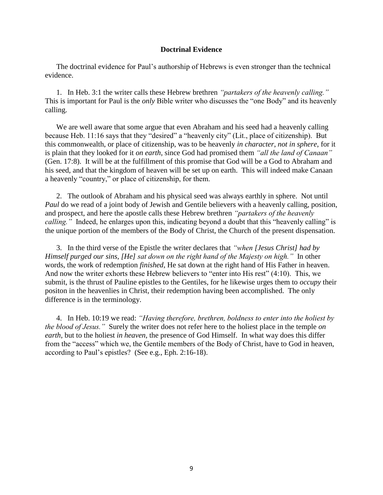#### **Doctrinal Evidence**

The doctrinal evidence for Paul's authorship of Hebrews is even stronger than the technical evidence.

1. In Heb. 3:1 the writer calls these Hebrew brethren *"partakers of the heavenly calling."* This is important for Paul is the *only* Bible writer who discusses the "one Body" and its heavenly calling.

We are well aware that some argue that even Abraham and his seed had a heavenly calling because Heb. 11:16 says that they "desired" a "heavenly city" (Lit., place of citizenship). But this commonwealth, or place of citizenship, was to be heavenly *in character*, *not in sphere*, for it is plain that they looked for it *on earth*, since God had promised them *"all the land of Canaan"*  (Gen. 17:8). It will be at the fulfillment of this promise that God will be a God to Abraham and his seed, and that the kingdom of heaven will be set up on earth. This will indeed make Canaan a heavenly "country," or place of citizenship, for them.

2. The outlook of Abraham and his physical seed was always earthly in sphere. Not until *Paul* do we read of a joint body of Jewish and Gentile believers with a heavenly calling, position, and prospect, and here the apostle calls these Hebrew brethren *"partakers of the heavenly calling.*" Indeed, he enlarges upon this, indicating beyond a doubt that this "heavenly calling" is the unique portion of the members of the Body of Christ, the Church of the present dispensation.

3. In the third verse of the Epistle the writer declares that *"when [Jesus Christ] had by Himself purged our sins, [He] sat down on the right hand of the Majesty on high."* In other words, the work of redemption *finished*, He sat down at the right hand of His Father in heaven. And now the writer exhorts these Hebrew believers to "enter into His rest" (4:10). This, we submit, is the thrust of Pauline epistles to the Gentiles, for he likewise urges them to *occupy* their positon in the heavenlies in Christ, their redemption having been accomplished. The only difference is in the terminology.

4. In Heb. 10:19 we read: *"Having therefore, brethren, boldness to enter into the holiest by the blood of Jesus."* Surely the writer does not refer here to the holiest place in the temple *on earth*, but to the holiest *in heaven*, the presence of God Himself. In what way does this differ from the "access" which we, the Gentile members of the Body of Christ, have to God in heaven, according to Paul's epistles? (See e.g., Eph. 2:16-18).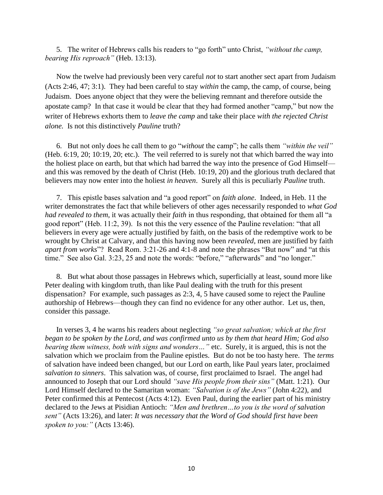5. The writer of Hebrews calls his readers to "go forth" unto Christ, *"without the camp, bearing His reproach"* (Heb. 13:13).

Now the twelve had previously been very careful *not* to start another sect apart from Judaism (Acts 2:46, 47; 3:1). They had been careful to stay *within* the camp, the camp, of course, being Judaism. Does anyone object that they were the believing remnant and therefore outside the apostate camp? In that case it would be clear that they had formed another "camp," but now the writer of Hebrews exhorts them to *leave the camp* and take their place *with the rejected Christ alone.* Is not this distinctively *Pauline* truth?

6. But not only does he call them to go "*without* the camp"; he calls them *"within the veil"* (Heb. 6:19, 20; 10:19, 20; etc.). The veil referred to is surely not that which barred the way into the holiest place on earth, but that which had barred the way into the presence of God Himself and this was removed by the death of Christ (Heb. 10:19, 20) and the glorious truth declared that believers may now enter into the holiest *in heaven*. Surely all this is peculiarly *Pauline* truth.

7. This epistle bases salvation and "a good report" on *faith alone*. Indeed, in Heb. 11 the writer demonstrates the fact that while believers of other ages necessarily responded to *what God had revealed to them*, it was actually their *faith* in thus responding, that obtained for them all "a good report" (Heb. 11:2, 39). Is not this the very essence of the Pauline revelation: "that all believers in every age were actually justified by faith, on the basis of the redemptive work to be wrought by Christ at Calvary, and that this having now been *revealed*, men are justified by faith *apart from works*"? Read Rom. 3:21-26 and 4:1-8 and note the phrases "But now" and "at this time." See also Gal. 3:23, 25 and note the words: "before," "afterwards" and "no longer."

8. But what about those passages in Hebrews which, superficially at least, sound more like Peter dealing with kingdom truth, than like Paul dealing with the truth for this present dispensation? For example, such passages as 2:3, 4, 5 have caused some to reject the Pauline authorship of Hebrews—though they can find no evidence for any other author. Let us, then, consider this passage.

In verses 3, 4 he warns his readers about neglecting *"so great salvation; which at the first began to be spoken by the Lord, and was confirmed unto us by them that heard Him; God also bearing them witness, both with signs and wonders…"* etc. Surely, it is argued, this is not the salvation which we proclaim from the Pauline epistles. But do not be too hasty here. The *terms* of salvation have indeed been changed, but our Lord on earth, like Paul years later, proclaimed *salvation to sinners*. This salvation was, of course, first proclaimed to Israel. The angel had announced to Joseph that our Lord should *"save His people from their sins"* (Matt. 1:21). Our Lord Himself declared to the Samaritan woman: *"Salvation is of the Jews"* (John 4:22), and Peter confirmed this at Pentecost (Acts 4:12). Even Paul, during the earlier part of his ministry declared to the Jews at Pisidian Antioch: *"Men and brethren…to you is the word of salvation sent"* (Acts 13:26), and later: *It was necessary that the Word of God should first have been spoken to you:"* (Acts 13:46).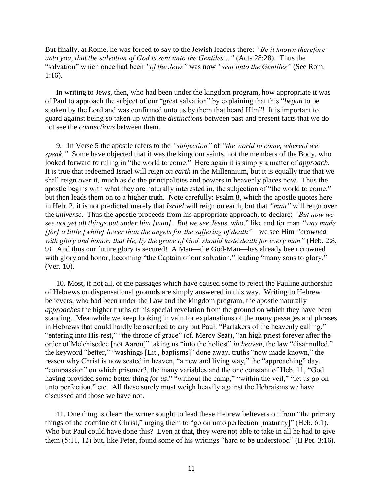But finally, at Rome, he was forced to say to the Jewish leaders there: *"Be it known therefore unto you, that the salvation of God is sent unto the Gentiles…"* (Acts 28:28). Thus the "salvation" which once had been *"of the Jews"* was now *"sent unto the Gentiles"* (See Rom. 1:16).

In writing to Jews, then, who had been under the kingdom program, how appropriate it was of Paul to approach the subject of our "great salvation" by explaining that this "*began* to be spoken by the Lord and was confirmed unto us by them that heard Him"! It is important to guard against being so taken up with the *distinctions* between past and present facts that we do not see the *connections* between them.

9. In Verse 5 the apostle refers to the *"subjection"* of *"the world to come, whereof we speak."* Some have objected that it was the kingdom saints, not the members of the Body, who looked forward to ruling in "the world to come." Here again it is simply a matter of *approach*. It is true that redeemed Israel will reign *on earth* in the Millennium, but it is equally true that we shall reign *over* it, much as do the principalities and powers in heavenly places now. Thus the apostle begins with what they are naturally interested in, the subjection of "the world to come," but then leads them on to a higher truth. Note carefully: Psalm 8, which the apostle quotes here in Heb. 2, it is not predicted merely that *Israel* will reign on earth, but that *"man"* will reign over the *universe*. Thus the apostle proceeds from his appropriate approach, to declare: *"But now we see not yet all things put under him [man]. But we see Jesus, who*," like and for man *"was made [for] a little [while] lower than the angels for the suffering of death"—*we see Him *"crowned with glory and honor: that He, by the grace of God, should taste death for every man"* (Heb. 2:8, 9*)*. And thus our future glory is secured! A Man—the God-Man—has already been crowned with glory and honor, becoming "the Captain of our salvation," leading "many sons to glory." (Ver. 10).

10. Most, if not all, of the passages which have caused some to reject the Pauline authorship of Hebrews on dispensational grounds are simply answered in this way. Writing to Hebrew believers, who had been under the Law and the kingdom program, the apostle naturally *approaches* the higher truths of his special revelation from the ground on which they have been standing. Meanwhile we keep looking in vain for explanations of the many passages and phrases in Hebrews that could hardly be ascribed to any but Paul: "Partakers of the heavenly calling," "entering into His rest," "the throne of grace" (cf. Mercy Seat), "an high priest forever after the order of Melchisedec [not Aaron]" taking us "into the holiest" *in heaven*, the law "disannulled," the keyword "better," "washings [Lit., baptisms]" done away, truths "now made known," the reason why Christ is now seated in heaven, "a new and living way," the "approaching" day, "compassion" on which prisoner?, the many variables and the one constant of Heb. 11, "God having provided some better thing *for us*," "without the camp," "within the veil," "let us go on unto perfection," etc. All these surely must weigh heavily against the Hebraisms we have discussed and those we have not.

11. One thing is clear: the writer sought to lead these Hebrew believers on from "the primary things of the doctrine of Christ," urging them to "go on unto perfection [maturity]" (Heb. 6:1). Who but Paul could have done this? Even at that, they were not able to take in all he had to give them (5:11, 12) but, like Peter, found some of his writings "hard to be understood" (II Pet. 3:16).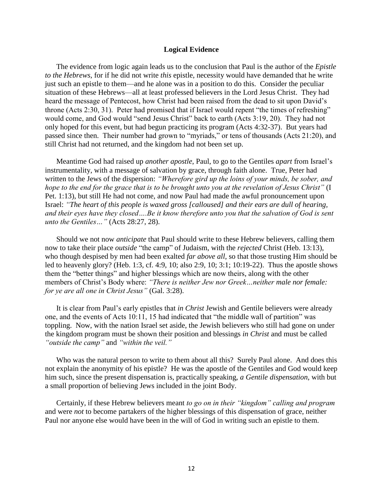#### **Logical Evidence**

The evidence from logic again leads us to the conclusion that Paul is the author of the *Epistle to the Hebrews*, for if he did not write *this* epistle, necessity would have demanded that he write just such an epistle to them—and he alone was in a position to do this. Consider the peculiar situation of these Hebrews—all at least professed believers in the Lord Jesus Christ. They had heard the message of Pentecost, how Christ had been raised from the dead to sit upon David's throne (Acts 2:30, 31). Peter had promised that if Israel would repent "the times of refreshing" would come, and God would "send Jesus Christ" back to earth (Acts 3:19, 20). They had not only hoped for this event, but had begun practicing its program (Acts 4:32-37). But years had passed since then. Their number had grown to "myriads," or tens of thousands (Acts 21:20), and still Christ had not returned, and the kingdom had not been set up.

Meantime God had raised up *another apostle*, Paul, to go to the Gentiles *apart* from Israel's instrumentality, with a message of salvation by grace, through faith alone. True, Peter had written to the Jews of the dispersion: *"Wherefore gird up the loins of your minds, be sober, and hope to the end for the grace that is to be brought unto you at the revelation of Jesus Christ"* (I Pet. 1:13), but still He had not come, and now Paul had made the awful pronouncement upon Israel: *"The heart of this people is waxed gross [calloused] and their ears are dull of hearing, and their eyes have they closed….Be it know therefore unto you that the salvation of God is sent unto the Gentiles…"* (Acts 28:27, 28).

Should we not now *anticipate* that Paul should write to these Hebrew believers, calling them now to take their place *outside* "the camp" of Judaism, with the *rejected* Christ (Heb. 13:13), who though despised by men had been exalted *far above all*, so that those trusting Him should be led to heavenly glory? (Heb. 1:3, cf. 4:9, 10; also 2:9, 10; 3:1; 10:19-22). Thus the apostle shows them the "better things" and higher blessings which are now theirs, along with the other members of Christ's Body where: *"There is neither Jew nor Greek…neither male nor female: for ye are all one in Christ Jesus"* (Gal. 3:28).

It is clear from Paul's early epistles that *in Christ* Jewish and Gentile believers were already one, and the events of Acts 10:11, 15 had indicated that "the middle wall of partition" was toppling. Now, with the nation Israel set aside, the Jewish believers who still had gone on under the kingdom program must be shown their position and blessings *in Christ* and must be called *"outside the camp"* and *"within the veil."*

Who was the natural person to write to them about all this? Surely Paul alone. And does this not explain the anonymity of his epistle? He was the apostle of the Gentiles and God would keep him such, since the present dispensation is, practically speaking, *a Gentile dispensation*, with but a small proportion of believing Jews included in the joint Body.

Certainly, if these Hebrew believers meant *to go on in their "kingdom" calling and program* and were *not* to become partakers of the higher blessings of this dispensation of grace, neither Paul nor anyone else would have been in the will of God in writing such an epistle to them.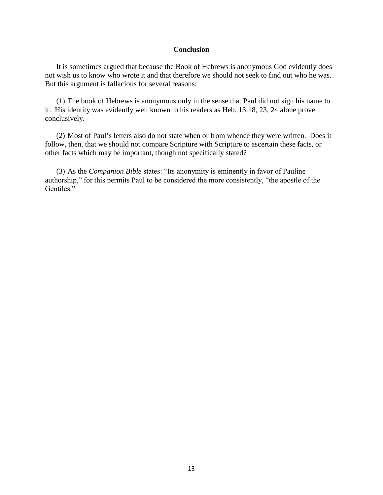#### **Conclusion**

It is sometimes argued that because the Book of Hebrews is anonymous God evidently does not wish us to know who wrote it and that therefore we should not seek to find out who he was. But this argument is fallacious for several reasons:

(1) The book of Hebrews is anonymous only in the sense that Paul did not sign his name to it. His identity was evidently well known to his readers as Heb. 13:18, 23, 24 alone prove conclusively.

(2) Most of Paul's letters also do not state when or from whence they were written. Does it follow, then, that we should not compare Scripture with Scripture to ascertain these facts, or other facts which may be important, though not specifically stated?

(3) As the *Companion Bible* states: "Its anonymity is eminently in favor of Pauline authorship," for this permits Paul to be considered the more consistently, "the apostle of the Gentiles."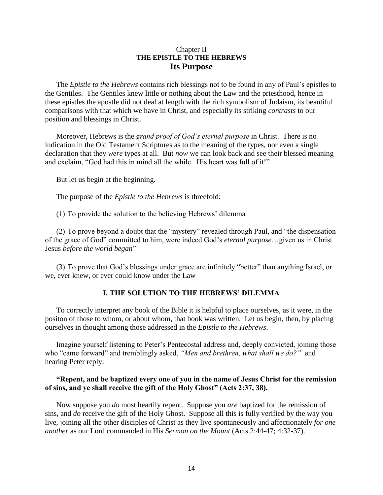# Chapter II **THE EPISTLE TO THE HEBREWS Its Purpose**

The *Epistle to the Hebrews* contains rich blessings not to be found in any of Paul's epistles to the Gentiles. The Gentiles knew little or nothing about the Law and the priesthood, hence in these epistles the apostle did not deal at length with the rich symbolism of Judaism, its beautiful comparisons with that which we have in Christ, and especially its striking *contrasts* to our position and blessings in Christ.

Moreover, Hebrews is the *grand proof of God's eternal purpose* in Christ. There is no indication in the Old Testament Scriptures as to the meaning of the types, nor even a single declaration that they *were* types at all. But *now* we can look back and see their blessed meaning and exclaim, "God had this in mind all the while. His heart was full of it!"

But let us begin at the beginning.

The purpose of the *Epistle to the Hebrews* is threefold:

(1) To provide the solution to the believing Hebrews' dilemma

(2) To prove beyond a doubt that the "mystery" revealed through Paul, and "the dispensation of the grace of God" committed to him, were indeed God's *eternal purpose*…given us in Christ Jesus *before the world began*"

(3) To prove that God's blessings under grace are infinitely "better" than anything Israel, or we, ever knew, or ever could know under the Law

#### **I. THE SOLUTION TO THE HEBREWS' DILEMMA**

To correctly interpret any book of the Bible it is helpful to place ourselves, as it were, in the positon of those to whom, or about whom, that book was written. Let us begin, then, by placing ourselves in thought among those addressed in the *Epistle to the Hebrews*.

Imagine yourself listening to Peter's Pentecostal address and, deeply convicted, joining those who "came forward" and tremblingly asked, *"Men and brethren, what shall we do?"* and hearing Peter reply:

## **"Repent, and be baptized every one of you in the name of Jesus Christ for the remission of sins, and ye shall receive the gift of the Holy Ghost" (Acts 2:37, 38).**

Now suppose you *do* most heartily repent. Suppose you *are* baptized for the remission of sins, and *do* receive the gift of the Holy Ghost. Suppose all this is fully verified by the way you live, joining all the other disciples of Christ as they live spontaneously and affectionately *for one another* as our Lord commanded in His *Sermon on the Mount* (Acts 2:44-47; 4:32-37).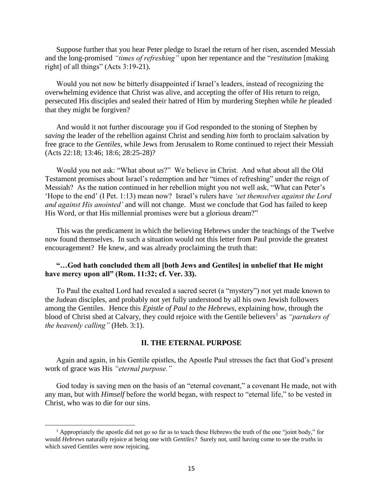Suppose further that you hear Peter pledge to Israel the return of her risen, ascended Messiah and the long-promised *"times of refreshing"* upon her repentance and the "*restitution* [making right] of all things" (Acts 3:19-21).

Would you not now be bitterly disappointed if Israel's leaders, instead of recognizing the overwhelming evidence that Christ was alive, and accepting the offer of His return to reign, persecuted His disciples and sealed their hatred of Him by murdering Stephen while *he* pleaded that they might be forgiven?

And would it not further discourage you if God responded to the stoning of Stephen by *saving* the leader of the rebellion against Christ and sending *him* forth to proclaim salvation by free grace to *the Gentiles,* while Jews from Jerusalem to Rome continued to reject their Messiah (Acts 22:18; 13:46; 18:6; 28:25-28)?

Would you not ask: "What about *us*?" We believe in Christ. And what about all the Old Testament promises about Israel's redemption and her "times of refreshing" under the reign of Messiah? As the nation continued in her rebellion might you not well ask, "What can Peter's 'Hope to the end' (I Pet. 1:13) mean now? Israel's rulers have *'set themselves against the Lord and against His anointed'* and will not change. Must we conclude that God has failed to keep His Word, or that His millennial promises were but a glorious dream?"

This was the predicament in which the believing Hebrews under the teachings of the Twelve now found themselves. In such a situation would not this letter from Paul provide the greatest encouragement? He knew, and was already proclaiming the truth that:

#### **"…God hath concluded them all [both Jews and Gentiles] in unbelief that He might have mercy upon all" (Rom. 11:32; cf. Ver. 33).**

To Paul the exalted Lord had revealed a sacred secret (a "mystery") not yet made known to the Judean disciples, and probably not yet fully understood by all his own Jewish followers among the Gentiles. Hence this *Epistle of Paul to the Hebrews*, explaining how, through the blood of Christ shed at Calvary, they could rejoice with the Gentile believers<sup>1</sup> as *"partakers of the heavenly calling"* (Heb. 3:1).

#### **II. THE ETERNAL PURPOSE**

Again and again, in his Gentile epistles, the Apostle Paul stresses the fact that God's present work of grace was His *"eternal purpose."*

God today is saving men on the basis of an "eternal covenant," a covenant He made, not with any man, but with *Himself* before the world began, with respect to "eternal life," to be vested in Christ, who was to die for our sins.

 $\overline{\phantom{a}}$ 

<sup>&</sup>lt;sup>1</sup> Appropriately the apostle did not go so far as to teach these Hebrews the truth of the one "joint body," for would *Hebrews* naturally rejoice at being one with *Gentiles?* Surely not, until having come to see the *truths* in which saved Gentiles were now rejoicing.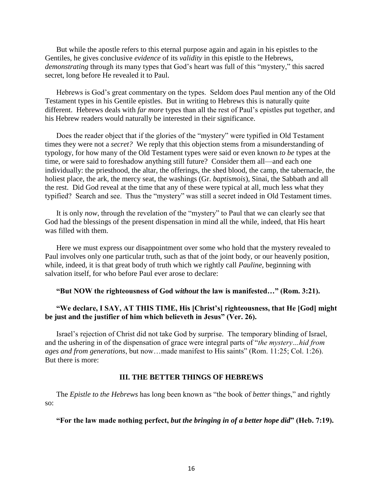But while the apostle refers to this eternal purpose again and again in his epistles to the Gentiles, he gives conclusive *evidence* of its *validity* in this epistle to the Hebrews, *demonstrating* through its many types that God's heart was full of this "mystery," this sacred secret, long before He revealed it to Paul.

Hebrews is God's great commentary on the types. Seldom does Paul mention any of the Old Testament types in his Gentile epistles. But in writing to Hebrews this is naturally quite different. Hebrews deals with *far more* types than all the rest of Paul's epistles put together, and his Hebrew readers would naturally be interested in their significance.

Does the reader object that if the glories of the "mystery" were typified in Old Testament times they were not a *secret?* We reply that this objection stems from a misunderstanding of typology, for how many of the Old Testament types were said or even known *to be* types at the time, or were said to foreshadow anything still future? Consider them all—and each one individually: the priesthood, the altar, the offerings, the shed blood, the camp, the tabernacle, the holiest place, the ark, the mercy seat, the washings (Gr. *baptismois*), Sinai, the Sabbath and all the rest. Did God reveal at the time that any of these were typical at all, much less what they typified? Search and see. Thus the "mystery" was still a secret indeed in Old Testament times.

It is only *now*, through the revelation of the "mystery" to Paul that we can clearly see that God had the blessings of the present dispensation in mind all the while, indeed, that His heart was filled with them.

Here we must express our disappointment over some who hold that the mystery revealed to Paul involves only one particular truth, such as that of the joint body, or our heavenly position, while, indeed, it is that great body of truth which we rightly call *Pauline*, beginning with salvation itself, for who before Paul ever arose to declare:

#### **"But NOW the righteousness of God** *without* **the law is manifested…" (Rom. 3:21).**

# **"We declare, I SAY, AT THIS TIME, His [Christ's] righteousness, that He [God] might be just and the justifier of him which believeth in Jesus" (Ver. 26).**

Israel's rejection of Christ did not take God by surprise. The temporary blinding of Israel, and the ushering in of the dispensation of grace were integral parts of "*the mystery…hid from ages and from generations*, but now…made manifest to His saints" (Rom. 11:25; Col. 1:26). But there is more:

#### **III. THE BETTER THINGS OF HEBREWS**

The *Epistle to the Hebrews* has long been known as "the book of *better* things," and rightly so:

**"For the law made nothing perfect,** *but the bringing in of a better hope did***" (Heb. 7:19).**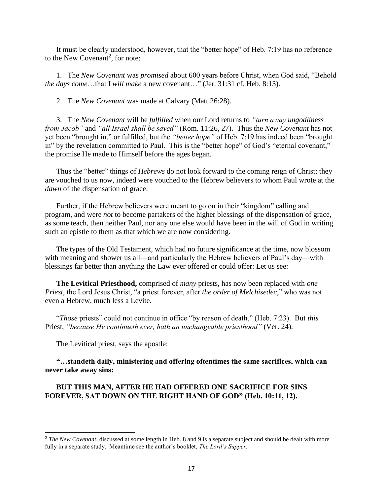It must be clearly understood, however, that the "better hope" of Heb. 7:19 has no reference to the New Covenant<sup>2</sup>, for note:

1. The *New Covenant* was *promised* about 600 years before Christ, when God said, "Behold *the days come*…that I *will make* a new covenant…" (Jer. 31:31 cf. Heb. 8:13).

2. The *New Covenant* was made at Calvary (Matt.26:28).

3. The *New Covenant* will be *fulfilled* when our Lord returns to *"turn away ungodliness from Jacob"* and *"all Israel shall be saved"* (Rom. 11:26, 27). Thus the *New Covenant* has not yet been "brought in," or fulfilled, but the *"better hope"* of Heb. 7:19 has indeed been "brought in" by the revelation committed to Paul. This is the "better hope" of God's "eternal covenant," the promise He made to Himself before the ages began.

Thus the "better" things of *Hebrews* do not look forward to the coming reign of Christ; they are vouched to us now, indeed were vouched to the Hebrew believers to whom Paul wrote at the *dawn* of the dispensation of grace.

Further, if the Hebrew believers were meant to go on in their "kingdom" calling and program, and were *not* to become partakers of the higher blessings of the dispensation of grace, as some teach, then neither Paul, nor any one else would have been in the will of God in writing such an epistle to them as that which we are now considering.

The types of the Old Testament, which had no future significance at the time, now blossom with meaning and shower us all—and particularly the Hebrew believers of Paul's day—with blessings far better than anything the Law ever offered or could offer: Let us see:

**The Levitical Priesthood,** comprised of *many* priests, has now been replaced with *one Priest*, the Lord Jesus Christ, "a priest forever, after *the order of Melchisedec*," who was not even a Hebrew, much less a Levite.

"*Those* priests" could not continue in office "by reason of death," (Heb. 7:23). But *this* Priest, *"because He continueth ever, hath an unchangeable priesthood"* (Ver. 24).

The Levitical priest, says the apostle:

 $\overline{a}$ 

**"…standeth daily, ministering and offering oftentimes the same sacrifices, which can never take away sins:**

# **BUT THIS MAN, AFTER HE HAD OFFERED ONE SACRIFICE FOR SINS FOREVER, SAT DOWN ON THE RIGHT HAND OF GOD" (Heb. 10:11, 12).**

<sup>&</sup>lt;sup>2</sup> *The New Covenant*, discussed at some length in Heb. 8 and 9 is a separate subject and should be dealt with more fully in a separate study. Meantime see the author's booklet, *The Lord's Supper.*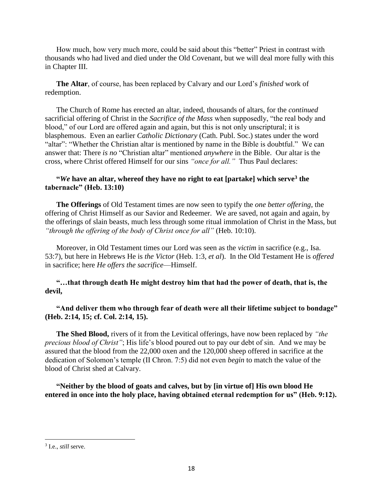How much, how very much more, could be said about this "better" Priest in contrast with thousands who had lived and died under the Old Covenant, but we will deal more fully with this in Chapter III.

**The Altar**, of course, has been replaced by Calvary and our Lord's *finished* work of redemption.

The Church of Rome has erected an altar, indeed, thousands of altars, for the *continued* sacrificial offering of Christ in the *Sacrifice of the Mass* when supposedly, "the real body and blood," of our Lord are offered again and again, but this is not only unscriptural; it is blasphemous. Even an earlier *Catholic Dictionary* (Cath. Publ. Soc.) states under the word "altar": "Whether the Christian altar is mentioned by name in the Bible is doubtful." We can answer that: There *is no* "Christian altar" mentioned *anywhere* in the Bible. Our altar is the cross, where Christ offered Himself for our sins *"once for all."* Thus Paul declares:

# **"***We* **have an altar, whereof they have no right to eat [partake] which serve<sup>3</sup> the tabernacle" (Heb. 13:10)**

**The Offerings** of Old Testament times are now seen to typify the *one better offering*, the offering of Christ Himself as our Savior and Redeemer. We are saved, not again and again, by the offerings of slain beasts, much less through some ritual immolation of Christ in the Mass, but *"through the offering of the body of Christ once for all"* (Heb. 10:10).

Moreover, in Old Testament times our Lord was seen as the *victim* in sacrifice (e.g., Isa. 53:7), but here in Hebrews He is *the Victor* (Heb. 1:3, *et al*). In the Old Testament He is *offered* in sacrifice; here *He offers the sacrifice*—Himself.

**"…that through death He might destroy him that had the power of death, that is, the devil,**

**"And deliver them who through fear of death were all their lifetime subject to bondage" (Heb. 2:14, 15; cf. Col. 2:14, 15).**

**The Shed Blood,** rivers of it from the Levitical offerings, have now been replaced by *"the precious blood of Christ"*; His life's blood poured out to pay our debt of sin. And we may be assured that the blood from the 22,000 oxen and the 120,000 sheep offered in sacrifice at the dedication of Solomon's temple (II Chron. 7:5) did not even *begin* to match the value of the blood of Christ shed at Calvary.

**"Neither by the blood of goats and calves, but by [in virtue of] His own blood He entered in once into the holy place, having obtained eternal redemption for us" (Heb. 9:12).**

 $\overline{\phantom{a}}$ 

<sup>3</sup> I.e., *still* serve.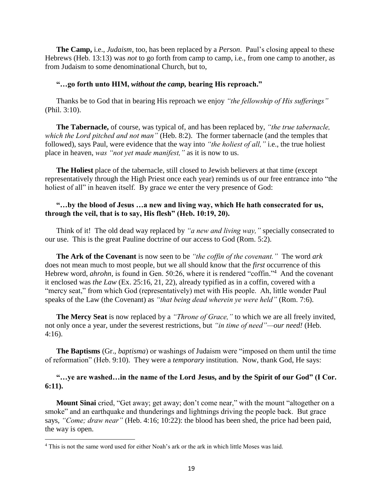**The Camp,** i.e., *Judaism*, too, has been replaced by a *Person*. Paul's closing appeal to these Hebrews (Heb. 13:13) was *not* to go forth from camp to camp, i.e., from one camp to another, as from Judaism to some denominational Church, but to,

#### **"…go forth unto HIM,** *without the camp,* **bearing His reproach."**

Thanks be to God that in bearing His reproach we enjoy *"the fellowship of His sufferings"*  (Phil. 3:10).

**The Tabernacle,** of course, was typical of, and has been replaced by, *"the true tabernacle, which the Lord pitched and not man"* (Heb. 8:2). The former tabernacle (and the temples that followed), says Paul, were evidence that the way into *"the holiest of all,"* i.e., the true holiest place in heaven, *was "not yet made manifest,"* as it is now to us.

**The Holiest** place of the tabernacle, still closed to Jewish believers at that time (except representatively through the High Priest once each year) reminds us of our free entrance into "the holiest of all" in heaven itself. By grace we enter the very presence of God:

#### **"…by the blood of Jesus …a new and living way, which He hath consecrated for us, through the veil, that is to say, His flesh" (Heb. 10:19, 20).**

Think of it! The old dead way replaced by *"a new and living way,"* specially consecrated to our use. This is the great Pauline doctrine of our access to God (Rom. 5:2).

**The Ark of the Covenant** is now seen to be *"the coffin of the covenant."* The word *ark* does not mean much to most people, but we all should know that the *first* occurrence of this Hebrew word, *ahrohn*, is found in Gen. 50:26, where it is rendered "coffin."<sup>4</sup> And the covenant it enclosed was *the Law* (Ex. 25:16, 21, 22), already typified as in a coffin, covered with a "mercy seat," from which God (representatively) met with His people. Ah, little wonder Paul speaks of the Law (the Covenant) as *"that being dead wherein ye were held"* (Rom. 7:6).

**The Mercy Seat** is now replaced by a *"Throne of Grace,"* to which we are all freely invited, not only once a year, under the severest restrictions, but *"in time of need"—our need!* (Heb. 4:16).

**The Baptisms** (Gr., *baptisma*) or washings of Judaism were "imposed on them until the time of reformation" (Heb. 9:10). They were a *temporary* institution. Now, thank God, He says:

#### **"…ye are washed…in the name of the Lord Jesus, and by the Spirit of our God" (I Cor. 6:11).**

**Mount Sinai** cried, "Get away; get away; don't come near," with the mount "altogether on a smoke" and an earthquake and thunderings and lightnings driving the people back. But grace says, *"Come; draw near"* (Heb. 4:16; 10:22): the blood has been shed, the price had been paid, the way is open.

 $\overline{\phantom{a}}$ 

<sup>4</sup> This is not the same word used for either Noah's ark or the ark in which little Moses was laid.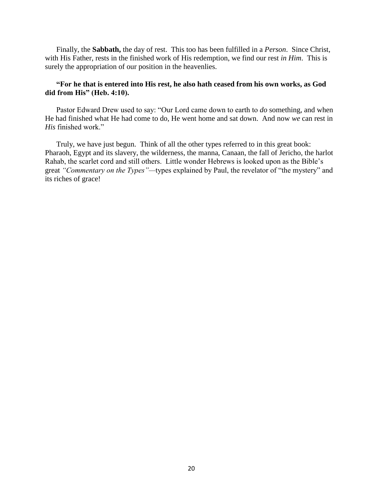Finally, the **Sabbath,** the day of rest. This too has been fulfilled in a *Person*. Since Christ, with His Father, rests in the finished work of His redemption, we find our rest *in Him*. This is surely the appropriation of our position in the heavenlies.

# **"For he that is entered into His rest, he also hath ceased from his own works, as God did from His" (Heb. 4:10).**

Pastor Edward Drew used to say: "Our Lord came down to earth to *do* something, and when He had finished what He had come to do, He went home and sat down. And now *we* can rest in *His* finished work."

Truly, we have just begun. Think of all the other types referred to in this great book: Pharaoh, Egypt and its slavery, the wilderness, the manna, Canaan, the fall of Jericho, the harlot Rahab, the scarlet cord and still others. Little wonder Hebrews is looked upon as the Bible's great *"Commentary on the Types"—*types explained by Paul, the revelator of "the mystery" and its riches of grace!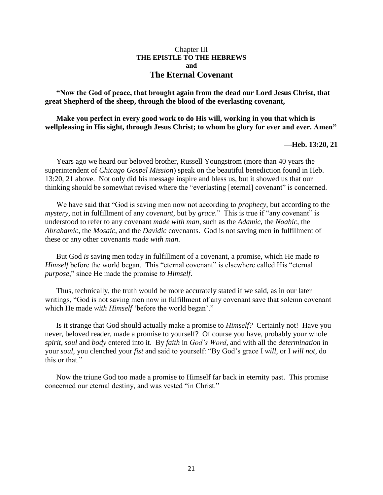#### Chapter III **THE EPISTLE TO THE HEBREWS and The Eternal Covenant**

**"Now the God of peace, that brought again from the dead our Lord Jesus Christ, that great Shepherd of the sheep, through the blood of the everlasting covenant,** 

**Make you perfect in every good work to do His will, working in you that which is wellpleasing in His sight, through Jesus Christ; to whom be glory for ever and ever. Amen"**

#### **—Heb. 13:20, 21**

Years ago we heard our beloved brother, Russell Youngstrom (more than 40 years the superintendent of *Chicago Gospel Mission*) speak on the beautiful benediction found in Heb. 13:20, 21 above. Not only did his message inspire and bless us, but it showed us that our thinking should be somewhat revised where the "everlasting [eternal] covenant" is concerned.

We have said that "God is saving men now not according to *prophecy*, but according to the *mystery*, not in fulfillment of any *covenant*, but by *grace*." This is true if "any covenant" is understood to refer to any covenant *made with man*, such as the *Adamic*, the *Noahic*, the *Abrahamic*, the *Mosaic*, and the *Davidic* covenants. God is not saving men in fulfillment of these or any other covenants *made with man*.

But God *is* saving men today in fulfillment of a covenant, a promise, which He made *to Himself* before the world began. This "eternal covenant" is elsewhere called His "eternal *purpose*," since He made the promise *to Himself*.

Thus, technically, the truth would be more accurately stated if we said, as in our later writings, "God is not saving men now in fulfillment of any covenant save that solemn covenant which He made *with Himself* 'before the world began'."

Is it strange that God should actually make a promise to *Himself?* Certainly not! Have you never, beloved reader, made a promise to yourself? Of course you have, probably your whole *spirit*, *soul* and *body* entered into it. By *faith* in *God's Word*, and with all the *determination* in your *soul*, you clenched your *fist* and said to yourself: "By God's grace I *will*, or I *will not*, do this or that."

Now the triune God too made a promise to Himself far back in eternity past. This promise concerned our eternal destiny, and was vested "in Christ."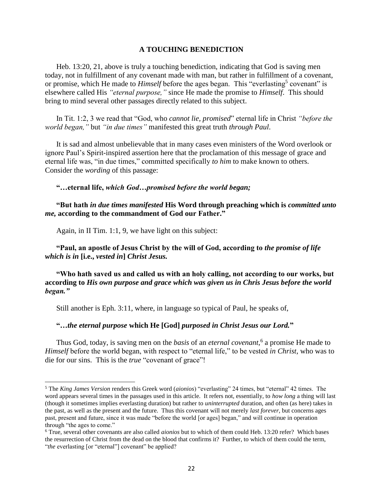#### **A TOUCHING BENEDICTION**

Heb. 13:20, 21, above is truly a touching benediction, indicating that God is saving men today, not in fulfillment of any covenant made with man, but rather in fulfillment of a covenant, or promise, which He made to *Himself* before the ages began. This "everlasting<sup>5</sup> covenant" is elsewhere called His *"eternal purpose,"* since He made the promise to *Himself*. This should bring to mind several other passages directly related to this subject.

In Tit. 1:2, 3 we read that "God, who *cannot lie, promised*" eternal life in Christ *"before the world began,"* but *"in due times"* manifested this great truth *through Paul*.

It is sad and almost unbelievable that in many cases even ministers of the Word overlook or ignore Paul's Spirit-inspired assertion here that the proclamation of this message of grace and eternal life was, "in due times," committed specifically *to him* to make known to others. Consider the *wording* of this passage:

**"…eternal life,** *which God…promised before the world began;*

#### **"But hath** *in due times manifested* **His Word through preaching which is** *committed unto me,* **according to the commandment of God our Father."**

Again, in II Tim. 1:1, 9, we have light on this subject:

 $\overline{\phantom{a}}$ 

**"Paul, an apostle of Jesus Christ by the will of God, according to** *the promise of life which is in* **[i.e.,** *vested in***]** *Christ Jesus.*

**"Who hath saved us and called us with an holy calling, not according to our works, but according to** *His own purpose and grace which was given us in Chris Jesus before the world began."*

Still another is Eph. 3:11, where, in language so typical of Paul, he speaks of,

**"…***the eternal purpose* **which He [God]** *purposed in Christ Jesus our Lord.***"**

Thus God, today, is saving men on the *basis* of an *eternal covenant*, 6 a promise He made to *Himself* before the world began, with respect to "eternal life," to be vested *in Christ*, who was to die for our sins. This is the *true* "covenant of grace"!

<sup>5</sup> The *King James Version* renders this Greek word (*aionios*) "everlasting" 24 times, but "eternal" 42 times. The word appears several times in the passages used in this article. It refers not, essentially, to *how long* a thing will last (though it sometimes implies everlasting duration) but rather to *uninterrupted* duration, and often (as here) takes in the past, as well as the present and the future. Thus this covenant will not merely *last forever*, but concerns ages past, present and future, since it was made "before the world [or ages] began," and will continue in operation through "the ages to come."

<sup>6</sup> True, several other covenants are also called *aionios* but to which of them could Heb. 13:20 refer? Which bases the resurrection of Christ from the dead on the blood that confirms it? Further, to which of them could the term, "*the* everlasting [or "eternal"] covenant" be applied?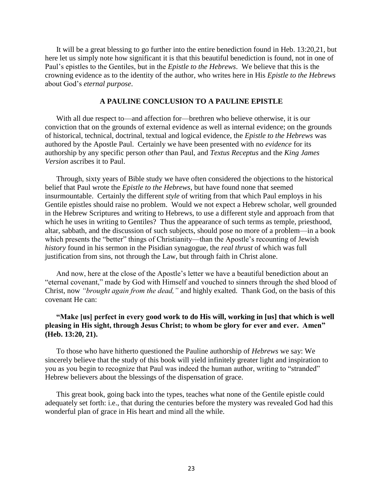It will be a great blessing to go further into the entire benediction found in Heb. 13:20,21, but here let us simply note how significant it is that this beautiful benediction is found, not in one of Paul's epistles to the Gentiles, but in the *Epistle to the Hebrews*. We believe that this is the crowning evidence as to the identity of the author, who writes here in His *Epistle to the Hebrews* about God's *eternal purpose*.

#### **A PAULINE CONCLUSION TO A PAULINE EPISTLE**

With all due respect to—and affection for—brethren who believe otherwise, it is our conviction that on the grounds of external evidence as well as internal evidence; on the grounds of historical, technical, doctrinal, textual and logical evidence, the *Epistle to the Hebrews* was authored by the Apostle Paul. Certainly we have been presented with no *evidence* for its authorship by any specific person *other* than Paul, and *Textus Receptus* and the *King James Version* ascribes it to Paul.

Through, sixty years of Bible study we have often considered the objections to the historical belief that Paul wrote the *Epistle to the Hebrews*, but have found none that seemed insurmountable. Certainly the different *style* of writing from that which Paul employs in his Gentile epistles should raise no problem. Would we not expect a Hebrew scholar, well grounded in the Hebrew Scriptures and writing to Hebrews, to use a different style and approach from that which he uses in writing to Gentiles? Thus the appearance of such terms as temple, priesthood, altar, sabbath, and the discussion of such subjects, should pose no more of a problem—in a book which presents the "better" things of Christianity—than the Apostle's recounting of Jewish *history* found in his sermon in the Pisidian synagogue, the *real thrust* of which was full justification from sins, not through the Law, but through faith in Christ alone.

And now, here at the close of the Apostle's letter we have a beautiful benediction about an "eternal covenant," made by God with Himself and vouched to sinners through the shed blood of Christ, now *"brought again from the dead,"* and highly exalted. Thank God, on the basis of this covenant He can:

# **"Make [us] perfect in every good work to do His will, working in [us] that which is well pleasing in His sight, through Jesus Christ; to whom be glory for ever and ever. Amen" (Heb. 13:20, 21).**

To those who have hitherto questioned the Pauline authorship of *Hebrews* we say: We sincerely believe that the study of this book will yield infinitely greater light and inspiration to you as you begin to recognize that Paul was indeed the human author, writing to "stranded" Hebrew believers about the blessings of the dispensation of grace.

This great book, going back into the types, teaches what none of the Gentile epistle could adequately set forth: i.e., that during the centuries before the mystery was revealed God had this wonderful plan of grace in His heart and mind all the while.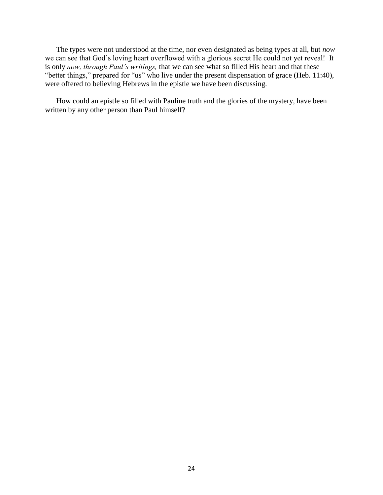The types were not understood at the time, nor even designated as being types at all, but *now* we can see that God's loving heart overflowed with a glorious secret He could not yet reveal! It is only *now, through Paul's writings,* that we can see what so filled His heart and that these "better things," prepared for "us" who live under the present dispensation of grace (Heb. 11:40), were offered to believing Hebrews in the epistle we have been discussing.

How could an epistle so filled with Pauline truth and the glories of the mystery, have been written by any other person than Paul himself?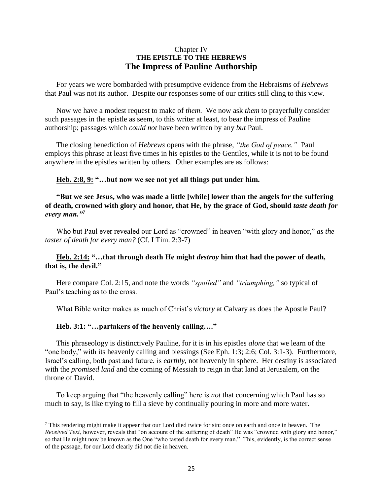# Chapter IV **THE EPISTLE TO THE HEBREWS The Impress of Pauline Authorship**

For years we were bombarded with presumptive evidence from the Hebraisms of *Hebrews* that Paul was not its author. Despite our responses some of our critics still cling to this view.

Now we have a modest request to make of *them*. We now ask *them* to prayerfully consider such passages in the epistle as seem, to this writer at least, to bear the impress of Pauline authorship; passages which *could not* have been written by any *but* Paul.

The closing benediction of *Hebrews* opens with the phrase, *"the God of peace."* Paul employs this phrase at least five times in his epistles to the Gentiles, while it is not to be found anywhere in the epistles written by others. Other examples are as follows:

#### **Heb. 2:8, 9: "…but now we see not yet all things put under him.**

**"But we see Jesus, who was made a little [while] lower than the angels for the suffering of death, crowned with glory and honor, that He, by the grace of God, should** *taste death for every man."<sup>7</sup>*

Who but Paul ever revealed our Lord as "crowned" in heaven "with glory and honor," as the *taster of death for every man?* (Cf. I Tim. 2:3-7)

#### **Heb. 2:14: "…that through death He might** *destroy* **him that had the power of death, that is, the devil."**

Here compare Col. 2:15, and note the words *"spoiled"* and *"triumphing,"* so typical of Paul's teaching as to the cross.

What Bible writer makes as much of Christ's *victory* at Calvary as does the Apostle Paul?

#### **Heb. 3:1: "…partakers of the heavenly calling…."**

 $\overline{a}$ 

This phraseology is distinctively Pauline, for it is in his epistles *alone* that we learn of the "one body," with its heavenly calling and blessings (See Eph. 1:3; 2:6; Col. 3:1-3). Furthermore, Israel's calling, both past and future, is *earthly*, not heavenly in sphere. Her destiny is associated with the *promised land* and the coming of Messiah to reign in that land at Jerusalem, on the throne of David.

To keep arguing that "the heavenly calling" here is *not* that concerning which Paul has so much to say, is like trying to fill a sieve by continually pouring in more and more water.

<sup>7</sup> This rendering might make it appear that our Lord died twice for sin: once on earth and once in heaven. The *Received Text*, however, reveals that "on account of the suffering of death" He was "crowned with glory and honor," so that He might now be known as the One "who tasted death for every man." This, evidently, is the correct sense of the passage, for our Lord clearly did not die in heaven.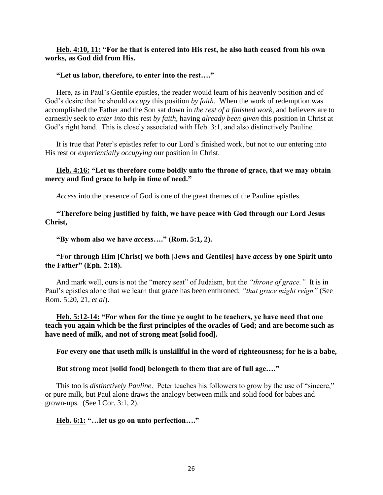## **Heb. 4:10, 11: "For he that is entered into His rest, he also hath ceased from his own works, as God did from His.**

#### **"Let us labor, therefore, to enter into the rest…."**

Here, as in Paul's Gentile epistles, the reader would learn of his heavenly position and of God's desire that he should *occupy* this position *by faith*. When the work of redemption was accomplished the Father and the Son sat down in *the rest of a finished work*, and believers are to earnestly seek to *enter into* this rest *by faith*, having *already been given* this position in Christ at God's right hand. This is closely associated with Heb. 3:1, and also distinctively Pauline.

It is true that Peter's epistles refer to our Lord's finished work, but not to our entering into His rest or *experientially occupying* our position in Christ.

# **Heb. 4:16: "Let us therefore come boldly unto the throne of grace, that we may obtain mercy and find grace to help in time of need."**

*Access* into the presence of God is one of the great themes of the Pauline epistles.

**"Therefore being justified by faith, we have peace with God through our Lord Jesus Christ,**

**"By whom also we have** *access***…." (Rom. 5:1, 2).**

#### **"For through Him [Christ] we both [Jews and Gentiles] have** *access* **by one Spirit unto the Father" (Eph. 2:18).**

And mark well, ours is not the "mercy seat" of Judaism, but the *"throne of grace."* It is in Paul's epistles alone that we learn that grace has been enthroned; *"that grace might reign"* (See Rom. 5:20, 21, *et al*).

**Heb. 5:12-14: "For when for the time ye ought to be teachers, ye have need that one teach you again which be the first principles of the oracles of God; and are become such as have need of milk, and not of strong meat [solid food].** 

**For every one that useth milk is unskillful in the word of righteousness; for he is a babe,** 

#### **But strong meat [solid food] belongeth to them that are of full age…."**

This too is *distinctively Pauline*. Peter teaches his followers to grow by the use of "sincere," or pure milk, but Paul alone draws the analogy between milk and solid food for babes and grown-ups. (See I Cor. 3:1, 2).

**Heb. 6:1: "…let us go on unto perfection…."**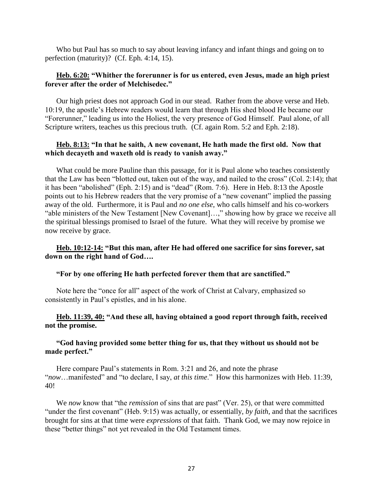Who but Paul has so much to say about leaving infancy and infant things and going on to perfection (maturity)? (Cf. Eph. 4:14, 15).

# **Heb. 6:20: "Whither the forerunner is for us entered, even Jesus, made an high priest forever after the order of Melchisedec."**

Our high priest does not approach God in our stead. Rather from the above verse and Heb. 10:19, the apostle's Hebrew readers would learn that through His shed blood He became our "Forerunner," leading us into the Holiest, the very presence of God Himself. Paul alone, of all Scripture writers, teaches us this precious truth. (Cf. again Rom. 5:2 and Eph. 2:18).

# **Heb. 8:13: "In that he saith, A new covenant, He hath made the first old. Now that which decayeth and waxeth old is ready to vanish away."**

What could be more Pauline than this passage, for it is Paul alone who teaches consistently that the Law has been "blotted out, taken out of the way, and nailed to the cross" (Col. 2:14); that it has been "abolished" (Eph. 2:15) and is "dead" (Rom. 7:6). Here in Heb. 8:13 the Apostle points out to his Hebrew readers that the very promise of a "new covenant" implied the passing away of the old. Furthermore, it is Paul and *no one else*, who calls himself and his co-workers "able ministers of the New Testament [New Covenant]…," showing how by grace we receive all the spiritual blessings promised to Israel of the future. What they will receive by promise we now receive by grace.

# **Heb. 10:12-14: "But this man, after He had offered one sacrifice for sins forever, sat down on the right hand of God….**

#### **"For by one offering He hath perfected forever them that are sanctified."**

Note here the "once for all" aspect of the work of Christ at Calvary, emphasized so consistently in Paul's epistles, and in his alone.

# **Heb. 11:39, 40: "And these all, having obtained a good report through faith, received not the promise.**

#### **"God having provided some better thing for us, that they without us should not be made perfect."**

Here compare Paul's statements in Rom. 3:21 and 26, and note the phrase "*now*…manifested" and "to declare, I say, *at this time*." How this harmonizes with Heb. 11:39, 40!

We *now* know that "the *remission* of sins that are past" (Ver. 25), or that were committed "under the first covenant" (Heb. 9:15) was actually, or essentially, *by faith*, and that the sacrifices brought for sins at that time were *expressions* of that faith. Thank God, we may now rejoice in these "better things" not yet revealed in the Old Testament times.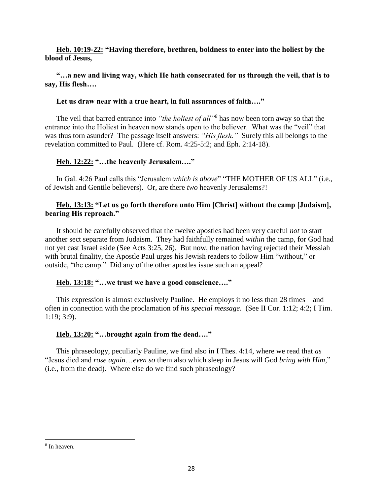**Heb. 10:19-22: "Having therefore, brethren, boldness to enter into the holiest by the blood of Jesus,**

# **"…a new and living way, which He hath consecrated for us through the veil, that is to say, His flesh….**

# **Let us draw near with a true heart, in full assurances of faith…."**

The veil that barred entrance into *"the holiest of all"<sup>8</sup>* has now been torn away so that the entrance into the Holiest in heaven now stands open to the believer. What was the "veil" that was thus torn asunder? The passage itself answers: *"His flesh."* Surely this all belongs to the revelation committed to Paul. (Here cf. Rom. 4:25-5:2; and Eph. 2:14-18).

# **Heb. 12:22: "…the heavenly Jerusalem…."**

In Gal. 4:26 Paul calls this "Jerusalem *which is above*" "THE MOTHER OF US ALL" (i.e., of Jewish and Gentile believers). Or, are there *two* heavenly Jerusalems?!

# **Heb. 13:13: "Let us go forth therefore unto Him [Christ] without the camp [Judaism], bearing His reproach."**

It should be carefully observed that the twelve apostles had been very careful *not* to start another sect separate from Judaism. They had faithfully remained *within* the camp, for God had not yet cast Israel aside (See Acts 3:25, 26). But now, the nation having rejected their Messiah with brutal finality, the Apostle Paul urges his Jewish readers to follow Him "without," or outside, "the camp." Did any of the other apostles issue such an appeal?

# **Heb. 13:18: "…we trust we have a good conscience…."**

This expression is almost exclusively Pauline. He employs it no less than 28 times—and often in connection with the proclamation of *his special message*. (See II Cor. 1:12; 4:2; I Tim. 1:19; 3:9).

# **Heb. 13:20: "…brought again from the dead…."**

This phraseology, peculiarly Pauline, we find also in I Thes. 4:14, where we read that *as* "Jesus died and *rose again*…*even so* them also which sleep in Jesus will God *bring with Him,*" (i.e., from the dead). Where else do we find such phraseology?

 $\overline{\phantom{a}}$ 

<sup>8</sup> In heaven.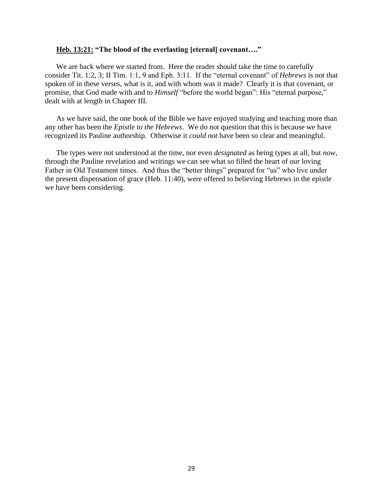#### **Heb. 13:21: "The blood of the everlasting [eternal] covenant…."**

We are back where we started from. Here the reader should take the time to carefully consider Tit. 1:2, 3; II Tim. 1:1, 9 and Eph. 3:11. If the "eternal covenant" of *Hebrews* is not that spoken of in these verses, what is it, and with whom was it made? Clearly it is that covenant, or promise, that God made with and to *Himself* "before the world began": His "eternal purpose," dealt with at length in Chapter III.

As we have said, the one book of the Bible we have enjoyed studying and teaching more than any other has been the *Epistle to the Hebrews*. We do not question that this is because we have recognized its Pauline authorship. Otherwise it *could not* have been so clear and meaningful.

The types were not understood at the time, nor even *designated* as being types at all, but *now*, through the Pauline revelation and writings we can see what so filled the heart of our loving Father in Old Testament times. And thus the "better things" prepared for "us" who live under the present dispensation of grace (Heb. 11:40), were offered to believing Hebrews in the epistle we have been considering.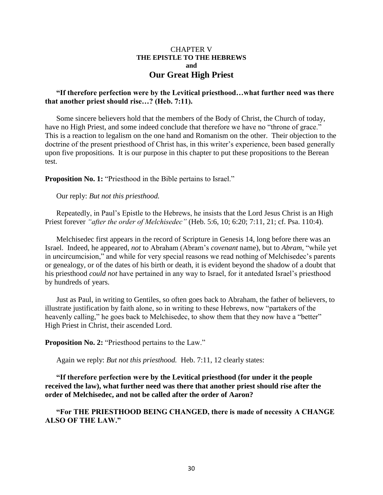## CHAPTER V **THE EPISTLE TO THE HEBREWS and Our Great High Priest**

# **"If therefore perfection were by the Levitical priesthood…what further need was there that another priest should rise…? (Heb. 7:11).**

Some sincere believers hold that the members of the Body of Christ, the Church of today, have no High Priest, and some indeed conclude that therefore we have no "throne of grace." This is a reaction to legalism on the one hand and Romanism on the other. Their objection to the doctrine of the present priesthood of Christ has, in this writer's experience, been based generally upon five propositions. It is our purpose in this chapter to put these propositions to the Berean test.

**Proposition No. 1:** "Priesthood in the Bible pertains to Israel."

Our reply: *But not this priesthood.*

Repeatedly, in Paul's Epistle to the Hebrews, he insists that the Lord Jesus Christ is an High Priest forever *"after the order of Melchisedec"* (Heb. 5:6, 10; 6:20; 7:11, 21; cf. Psa. 110:4).

Melchisedec first appears in the record of Scripture in Genesis 14, long before there was an Israel. Indeed, he appeared, *not* to Abraham (Abram's *covenant* name), but to *Abram*, "while yet in *un*circumcision," and while for very special reasons we read nothing of Melchisedec's parents or genealogy, or of the dates of his birth or death, it is evident beyond the shadow of a doubt that his priesthood *could not* have pertained in any way to Israel, for it antedated Israel's priesthood by hundreds of years.

Just as Paul, in writing to Gentiles, so often goes back to Abraham, the father of believers, to illustrate justification by faith alone, so in writing to these Hebrews, now "partakers of the heavenly calling," he goes back to Melchisedec, to show them that they now have a "better" High Priest in Christ, their ascended Lord.

**Proposition No. 2:** "Priesthood pertains to the Law."

Again we reply: *But not this priesthood.* Heb. 7:11, 12 clearly states:

**"If therefore perfection were by the Levitical priesthood (for under it the people received the law), what further need was there that another priest should rise after the order of Melchisedec, and not be called after the order of Aaron?**

**"For THE PRIESTHOOD BEING CHANGED, there is made of necessity A CHANGE ALSO OF THE LAW."**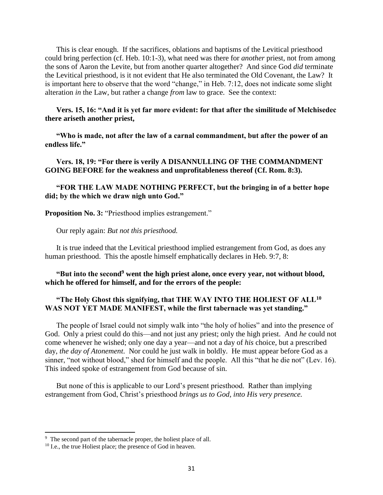This is clear enough. If the sacrifices, oblations and baptisms of the Levitical priesthood could bring perfection (cf. Heb. 10:1-3), what need was there for *another* priest, not from among the sons of Aaron the Levite, but from another quarter altogether? And since God *did* terminate the Levitical priesthood, is it not evident that He also terminated the Old Covenant, the Law? It is important here to observe that the word "change," in Heb. 7:12, does not indicate some slight alteration *in* the Law, but rather a change *from* law to grace. See the context:

# **Vers. 15, 16: "And it is yet far more evident: for that after the similitude of Melchisedec there ariseth another priest,**

**"Who is made, not after the law of a carnal commandment, but after the power of an endless life."**

**Vers. 18, 19: "For there is verily A DISANNULLING OF THE COMMANDMENT GOING BEFORE for the weakness and unprofitableness thereof (Cf. Rom. 8:3).**

**"FOR THE LAW MADE NOTHING PERFECT, but the bringing in of a better hope did; by the which we draw nigh unto God."**

**Proposition No. 3:** "Priesthood implies estrangement."

Our reply again: *But not this priesthood.*

It is true indeed that the Levitical priesthood implied estrangement from God, as does any human priesthood. This the apostle himself emphatically declares in Heb. 9:7, 8:

**"But into the second<sup>9</sup> went the high priest alone, once every year, not without blood, which he offered for himself, and for the errors of the people:**

# **"The Holy Ghost this signifying, that THE WAY INTO THE HOLIEST OF ALL<sup>10</sup> WAS NOT YET MADE MANIFEST, while the first tabernacle was yet standing."**

The people of Israel could not simply walk into "the holy of holies" and into the presence of God. Only a priest could do this—and not just any priest; only the high priest. And *he* could not come whenever he wished; only one day a year—and not a day of *his* choice, but a prescribed day, *the day of Atonement*. Nor could he just walk in boldly. He must appear before God as a sinner, "not without blood," shed for himself and the people. All this "that he die not" (Lev. 16). This indeed spoke of estrangement from God because of sin.

But none of this is applicable to our Lord's present priesthood. Rather than implying estrangement from God, Christ's priesthood *brings us to God, into His very presence.*

 $\overline{a}$ 

<sup>&</sup>lt;sup>9</sup> The second part of the tabernacle proper, the holiest place of all.

<sup>&</sup>lt;sup>10</sup> I.e., the true Holiest place; the presence of God in heaven.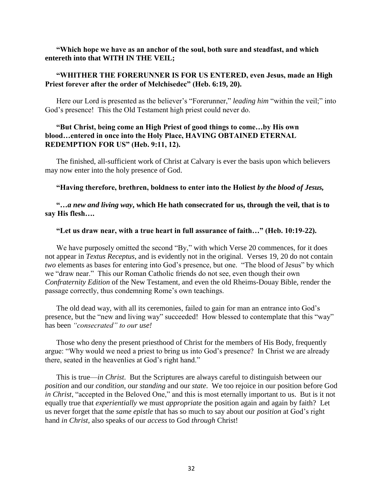#### **"Which hope we have as an anchor of the soul, both sure and steadfast, and which entereth into that WITH IN THE VEIL;**

# **"WHITHER THE FORERUNNER IS FOR US ENTERED, even Jesus, made an High Priest forever after the order of Melchisedec" (Heb. 6:19, 20).**

Here our Lord is presented as the believer's "Forerunner," *leading him* "within the veil;" into God's presence! This the Old Testament high priest could never do.

# **"But Christ, being come an High Priest of good things to come…by His own blood…entered in once into the Holy Place, HAVING OBTAINED ETERNAL REDEMPTION FOR US" (Heb. 9:11, 12).**

The finished, all-sufficient work of Christ at Calvary is ever the basis upon which believers may now enter into the holy presence of God.

#### **"Having therefore, brethren, boldness to enter into the Holiest** *by the blood of Jesus,*

**"…***a new and living way***, which He hath consecrated for us, through the veil, that is to say His flesh….**

#### **"Let us draw near, with a true heart in full assurance of faith…" (Heb. 10:19-22).**

We have purposely omitted the second "By," with which Verse 20 commences, for it does not appear in *Textus Receptus*, and is evidently not in the original. Verses 19, 20 do not contain *two* elements as bases for entering into God's presence, but one. "The blood of Jesus" by which we "draw near." This our Roman Catholic friends do not see, even though their own *Confraternity Edition* of the New Testament, and even the old Rheims-Douay Bible, render the passage correctly, thus condemning Rome's own teachings.

The old dead way, with all its ceremonies, failed to gain for man an entrance into God's presence, but the "new and living way" succeeded! How blessed to contemplate that this "way" has been *"consecrated" to our use!*

Those who deny the present priesthood of Christ for the members of His Body, frequently argue: "Why would we need a priest to bring us into God's presence? In Christ we are already there, seated in the heavenlies at God's right hand."

This is true—*in Christ*. But the Scriptures are always careful to distinguish between our *position* and our *condition*, our *standing* and our *state*. We too rejoice in our position before God *in Christ*, "accepted in the Beloved One," and this is most eternally important to us. But is it not equally true that *experientially* we must *appropriate* the position again and again by faith? Let us never forget that the *same epistle* that has so much to say about our *position* at God's right hand *in Christ,* also speaks of our *access* to God *through* Christ!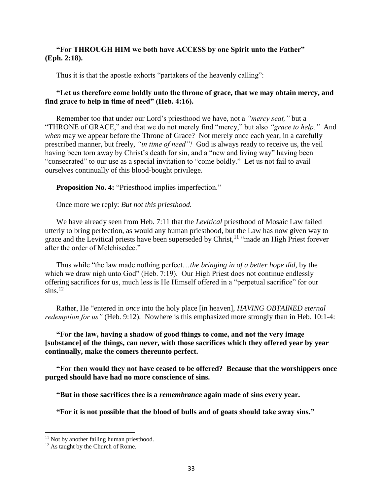## **"For THROUGH HIM we both have ACCESS by one Spirit unto the Father" (Eph. 2:18).**

Thus it is that the apostle exhorts "partakers of the heavenly calling":

# **"Let us therefore come boldly unto the throne of grace, that we may obtain mercy, and find grace to help in time of need" (Heb. 4:16).**

Remember too that under our Lord's priesthood we have, not a *"mercy seat,"* but a "THRONE of GRACE," and that we do not merely find "mercy," but also *"grace to help."* And *when* may we appear before the Throne of Grace? Not merely once each year, in a carefully prescribed manner, but freely, *"in time of need"!* God is always ready to receive us, the veil having been torn away by Christ's death for sin, and a "new and living way" having been "consecrated" to our use as a special invitation to "come boldly." Let us not fail to avail ourselves continually of this blood-bought privilege.

**Proposition No. 4:** "Priesthood implies imperfection."

Once more we reply: *But not this priesthood.*

We have already seen from Heb. 7:11 that the *Levitical* priesthood of Mosaic Law failed utterly to bring perfection, as would any human priesthood, but the Law has now given way to grace and the Levitical priests have been superseded by Christ,<sup>11</sup> "made an High Priest forever after the order of Melchisedec."

Thus while "the law made nothing perfect…*the bringing in of a better hope did*, by the which we draw nigh unto God" (Heb. 7:19). Our High Priest does not continue endlessly offering sacrifices for us, much less is He Himself offered in a "perpetual sacrifice" for our  $\sin s$ <sup>12</sup>

Rather, He "entered in *once* into the holy place [in heaven], *HAVING OBTAINED eternal redemption for us*" (Heb. 9:12). Nowhere is this emphasized more strongly than in Heb. 10:1-4:

# **"For the law, having a shadow of good things to come, and not the very image [substance] of the things, can never, with those sacrifices which they offered year by year continually, make the comers thereunto perfect.**

**"For then would they not have ceased to be offered? Because that the worshippers once purged should have had no more conscience of sins.**

**"But in those sacrifices thee is a** *remembrance* **again made of sins every year.**

**"For it is not possible that the blood of bulls and of goats should take away sins."**

 $\overline{a}$ 

<sup>&</sup>lt;sup>11</sup> Not by another failing human priesthood.

<sup>&</sup>lt;sup>12</sup> As taught by the Church of Rome.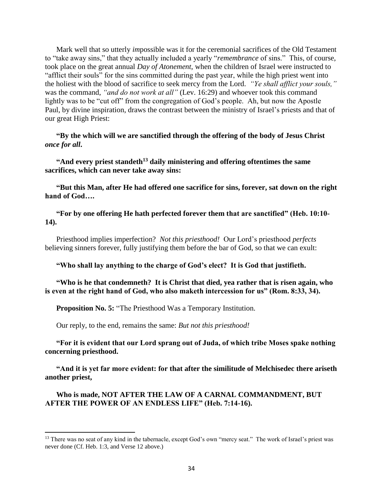Mark well that so utterly *im*possible was it for the ceremonial sacrifices of the Old Testament to "take away sins," that they actually included a yearly "*remembrance* of sins." This, of course, took place on the great annual *Day of Atonement*, when the children of Israel were instructed to "afflict their souls" for the sins committed during the past year, while the high priest went into the holiest with the blood of sacrifice to seek mercy from the Lord. *"Ye shall afflict your souls,"* was the command, *"and do not work at all"* (Lev. 16:29) and whoever took this command lightly was to be "cut off" from the congregation of God's people. Ah, but now the Apostle Paul, by divine inspiration, draws the contrast between the ministry of Israel's priests and that of our great High Priest:

**"By the which will we are sanctified through the offering of the body of Jesus Christ**  *once for all***.** 

**"And every priest standeth<sup>13</sup> daily ministering and offering oftentimes the same sacrifices, which can never take away sins:**

**"But this Man, after He had offered one sacrifice for sins, forever, sat down on the right hand of God….**

**"For by one offering He hath perfected forever them that are sanctified" (Heb. 10:10- 14).**

Priesthood implies imperfection? *Not this priesthood!* Our Lord's priesthood *perfects* believing sinners forever, fully justifying them before the bar of God, so that we can exult:

**"Who shall lay anything to the charge of God's elect? It is God that justifieth.**

**"Who is he that condemneth? It is Christ that died, yea rather that is risen again, who is even at the right hand of God, who also maketh intercession for us" (Rom. 8:33, 34).**

**Proposition No. 5:** "The Priesthood Was a Temporary Institution.

Our reply, to the end, remains the same: *But not this priesthood!*

 $\overline{a}$ 

**"For it is evident that our Lord sprang out of Juda, of which tribe Moses spake nothing concerning priesthood.**

**"And it is yet far more evident: for that after the similitude of Melchisedec there ariseth another priest,**

**Who is made, NOT AFTER THE LAW OF A CARNAL COMMANDMENT, BUT AFTER THE POWER OF AN ENDLESS LIFE" (Heb. 7:14-16).**

<sup>&</sup>lt;sup>13</sup> There was no seat of any kind in the tabernacle, except God's own "mercy seat." The work of Israel's priest was never done (Cf. Heb. 1:3, and Verse 12 above.)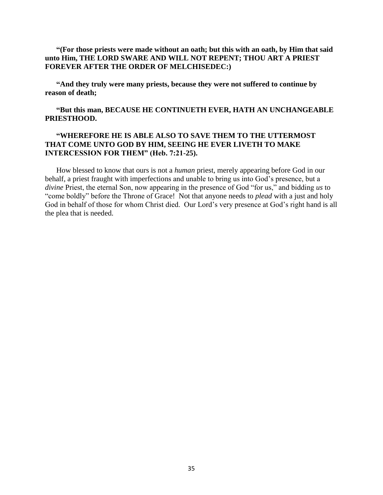# **"(For those priests were made without an oath; but this with an oath, by Him that said unto Him, THE LORD SWARE AND WILL NOT REPENT; THOU ART A PRIEST FOREVER AFTER THE ORDER OF MELCHISEDEC:)**

**"And they truly were many priests, because they were not suffered to continue by reason of death;**

# **"But this man, BECAUSE HE CONTINUETH EVER, HATH AN UNCHANGEABLE PRIESTHOOD.**

# **"WHEREFORE HE IS ABLE ALSO TO SAVE THEM TO THE UTTERMOST THAT COME UNTO GOD BY HIM, SEEING HE EVER LIVETH TO MAKE INTERCESSION FOR THEM" (Heb. 7:21-25).**

How blessed to know that ours is not a *human* priest, merely appearing before God in our behalf, a priest fraught with imperfections and unable to bring us into God's presence, but a *divine* Priest, the eternal Son, now appearing in the presence of God "for us," and bidding *us* to "come boldly" before the Throne of Grace! Not that anyone needs to *plead* with a just and holy God in behalf of those for whom Christ died. Our Lord's very presence at God's right hand is all the plea that is needed.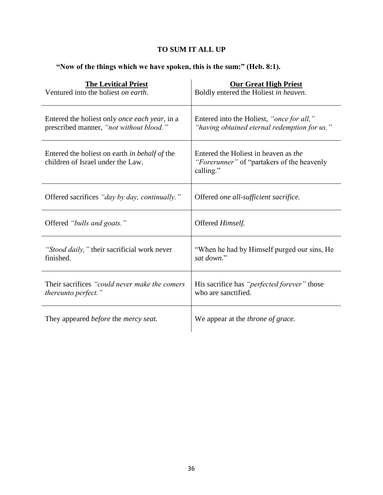# **TO SUM IT ALL UP**

# **"Now of the things which we have spoken, this is the sum:" (Heb. 8:1).**

| <b>The Levitical Priest</b>                                                        | <b>Our Great High Priest</b>                                                                     |
|------------------------------------------------------------------------------------|--------------------------------------------------------------------------------------------------|
| Ventured into the holiest on earth.                                                | Boldly entered the Holiest in heaven.                                                            |
| Entered the holiest only <i>once each year</i> , in a                              | Entered into the Holiest, "once for all,"                                                        |
| prescribed manner, "not without blood."                                            | "having obtained eternal redemption for us."                                                     |
| Entered the holiest on earth in behalf of the<br>children of Israel under the Law. | Entered the Holiest in heaven as the<br>"Forerunner" of "partakers of the heavenly"<br>calling." |
| Offered sacrifices "day by day, continually."                                      | Offered one all-sufficient sacrifice.                                                            |
| Offered "bulls and goats."                                                         | Offered Himself.                                                                                 |
| "Stood daily," their sacrificial work never                                        | "When he had by Himself purged our sins, He                                                      |
| finished.                                                                          | sat down."                                                                                       |
| Their sacrifices "could never make the comers"                                     | His sacrifice has "perfected forever" those                                                      |
| <i>thereunto perfect.</i> "                                                        | who are sanctified.                                                                              |
| They appeared <i>before</i> the <i>mercy seat</i> .                                | We appear at the <i>throne</i> of grace.                                                         |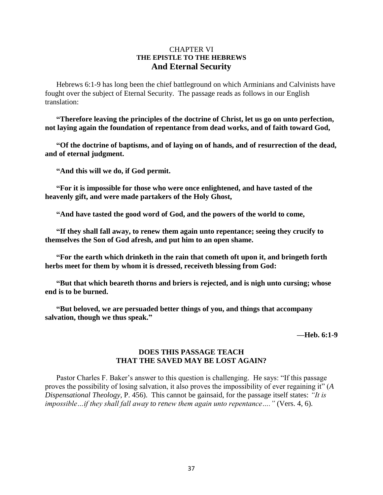# CHAPTER VI **THE EPISTLE TO THE HEBREWS And Eternal Security**

Hebrews 6:1-9 has long been the chief battleground on which Arminians and Calvinists have fought over the subject of Eternal Security. The passage reads as follows in our English translation:

**"Therefore leaving the principles of the doctrine of Christ, let us go on unto perfection, not laying again the foundation of repentance from dead works, and of faith toward God,** 

**"Of the doctrine of baptisms, and of laying on of hands, and of resurrection of the dead, and of eternal judgment.**

**"And this will we do, if God permit.**

**"For it is impossible for those who were once enlightened, and have tasted of the heavenly gift, and were made partakers of the Holy Ghost,**

**"And have tasted the good word of God, and the powers of the world to come,**

**"If they shall fall away, to renew them again unto repentance; seeing they crucify to themselves the Son of God afresh, and put him to an open shame.**

**"For the earth which drinketh in the rain that cometh oft upon it, and bringeth forth herbs meet for them by whom it is dressed, receiveth blessing from God:** 

**"But that which beareth thorns and briers is rejected, and is nigh unto cursing; whose end is to be burned.**

**"But beloved, we are persuaded better things of you, and things that accompany salvation, though we thus speak."**

**—Heb. 6:1-9**

# **DOES THIS PASSAGE TEACH THAT THE SAVED MAY BE LOST AGAIN?**

Pastor Charles F. Baker's answer to this question is challenging. He says: "If this passage proves the possibility of losing salvation, it also proves the impossibility of ever regaining it" (*A Dispensational Theology,* P. 456). This cannot be gainsaid, for the passage itself states: *"It is impossible…if they shall fall away to renew them again unto repentance…."* (Vers. 4, 6).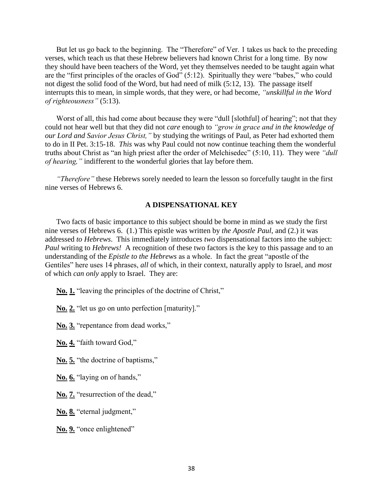But let us go back to the beginning. The "Therefore" of Ver. 1 takes us back to the preceding verses, which teach us that these Hebrew believers had known Christ for a long time. By now they should have been teachers of the Word, yet they themselves needed to be taught again what are the "first principles of the oracles of God" (5:12). Spiritually they were "babes," who could not digest the solid food of the Word, but had need of milk (5:12, 13). The passage itself interrupts this to mean, in simple words, that they were, or had become, *"unskillful in the Word of righteousness"* (5:13).

Worst of all, this had come about because they were "dull [slothful] of hearing"; not that they could not hear well but that they did not *care* enough to *"grow in grace and in the knowledge of our Lord and Savior Jesus Christ,"* by studying the writings of Paul, as Peter had exhorted them to do in II Pet. 3:15-18. *This* was why Paul could not now continue teaching them the wonderful truths about Christ as "an high priest after the order of Melchisedec" (5:10, 11). They were *"dull of hearing,"* indifferent to the wonderful glories that lay before them.

*"Therefore"* these Hebrews sorely needed to learn the lesson so forcefully taught in the first nine verses of Hebrews 6.

#### **A DISPENSATIONAL KEY**

Two facts of basic importance to this subject should be borne in mind as we study the first nine verses of Hebrews 6. (1.) This epistle was written by *the Apostle Paul*, and (2.) it was addressed *to Hebrews*. This immediately introduces *two* dispensational factors into the subject: *Paul* writing to *Hebrews!* A recognition of these two factors is the key to this passage and to an understanding of the *Epistle to the Hebrews* as a whole. In fact the great "apostle of the Gentiles" here uses 14 phrases, *all* of which, in their context, naturally apply to Israel, and *most* of which *can only* apply to Israel. They are:

**No. 1.** "leaving the principles of the doctrine of Christ,"

**No. 2.** "let us go on unto perfection [maturity]."

**No. 3.** "repentance from dead works,"

**No. 4.** "faith toward God,"

**No. 5.** "the doctrine of baptisms,"

- **No. 6.** "laying on of hands,"
- **No. 7.** "resurrection of the dead,"

**No. 8.** "eternal judgment,"

**No. 9.** "once enlightened"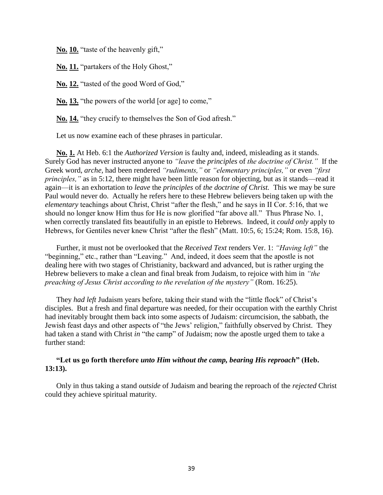**No. 10.** "taste of the heavenly gift,"

**No. 11.** "partakers of the Holy Ghost,"

**No. 12.** "tasted of the good Word of God,"

**No. 13.** "the powers of the world [or age] to come,"

**No. 14.** "they crucify to themselves the Son of God afresh."

Let us now examine each of these phrases in particular.

**No. 1.** At Heb. 6:1 the *Authorized Version* is faulty and, indeed, misleading as it stands. Surely God has never instructed anyone to *"leave* the *principles* of *the doctrine of Christ."* If the Greek word, *arche,* had been rendered *"rudiments,"* or *"elementary principles,"* or even *"first principles,*" as in 5:12, there might have been little reason for objecting, but as it stands—read it again—it is an exhortation to *leave* the *principles* of *the doctrine of Christ.* This we may be sure Paul would never do. Actually he refers here to these Hebrew believers being taken up with the *elementary* teachings about Christ, Christ "after the flesh," and he says in II Cor. 5:16, that we should no longer know Him thus for He is now glorified "far above all." Thus Phrase No. 1, when correctly translated fits beautifully in an epistle to Hebrews. Indeed, it *could only* apply to Hebrews, for Gentiles never knew Christ "after the flesh" (Matt. 10:5, 6; 15:24; Rom. 15:8, 16).

Further, it must not be overlooked that the *Received Text* renders Ver. 1: *"Having left"* the "beginning," etc., rather than "Leaving." And, indeed, it does seem that the apostle is not dealing here with two stages of Christianity, backward and advanced, but is rather urging the Hebrew believers to make a clean and final break from Judaism, to rejoice with him in *"the preaching of Jesus Christ according to the revelation of the mystery"* (Rom. 16:25).

They *had left* Judaism years before, taking their stand with the "little flock" of Christ's disciples. But a fresh and final departure was needed, for their occupation with the earthly Christ had inevitably brought them back into some aspects of Judaism: circumcision, the sabbath, the Jewish feast days and other aspects of "the Jews' religion," faithfully observed by Christ. They had taken a stand with Christ *in* "the camp" of Judaism; now the apostle urged them to take a further stand:

# **"Let us go forth therefore** *unto Him without the camp, bearing His reproach***" (Heb. 13:13).**

Only in thus taking a stand *outside* of Judaism and bearing the reproach of the *rejected* Christ could they achieve spiritual maturity.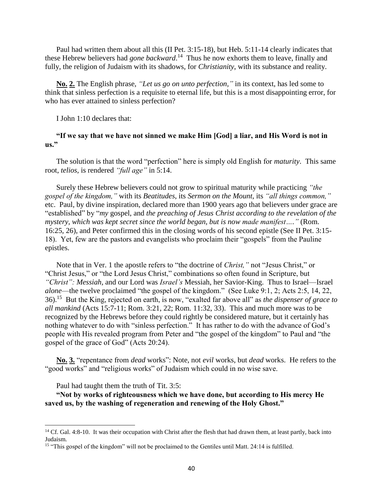Paul had written them about all this (II Pet. 3:15-18), but Heb. 5:11-14 clearly indicates that these Hebrew believers had *gone backward*.<sup>14</sup> Thus he now exhorts them to leave, finally and fully, the religion of Judaism with its shadows, for *Christianity*, with its substance and reality.

**No. 2.** The English phrase, *"Let us go on unto perfection,"* in its context, has led some to think that sinless perfection is a requisite to eternal life, but this is a most disappointing error, for who has ever attained to sinless perfection?

I John 1:10 declares that:

#### **"If we say that we have not sinned we make Him [God] a liar, and His Word is not in us."**

The solution is that the word "perfection" here is simply old English for *maturity*. This same root, *telios,* is rendered *"full age"* in 5:14.

Surely these Hebrew believers could not grow to spiritual maturity while practicing *"the gospel of the kingdom,"* with its *Beatitudes*, its *Sermon on the Mount*, its *"all things common,"* etc. Paul, by divine inspiration, declared more than 1900 years ago that believers under grace are "established" by "*my* gospel, and *the preaching of Jesus Christ according to the revelation of the mystery, which was kept secret since the world began, but is now made manifest…."* (Rom. 16:25, 26), and Peter confirmed this in the closing words of his second epistle (See II Pet. 3:15- 18). Yet, few are the pastors and evangelists who proclaim their "gospels" from the Pauline epistles.

Note that in Ver. 1 the apostle refers to "the doctrine of *Christ,"* not "Jesus Christ," or "Christ Jesus," or "the Lord Jesus Christ," combinations so often found in Scripture, but *"Christ": Messiah,* and our Lord was *Israel's* Messiah, her Savior-King. Thus to Israel—Israel *alone*—the twelve proclaimed "the gospel of the kingdom." (See Luke 9:1, 2; Acts 2:5, 14, 22, 36).<sup>15</sup> But the King, rejected on earth, is now, "exalted far above all" as *the dispenser of grace to all mankind* (Acts 15:7-11; Rom. 3:21, 22; Rom. 11:32, 33). This and much more was to be recognized by the Hebrews before they could rightly be considered mature, but it certainly has nothing whatever to do with "sinless perfection." It has rather to do with the advance of God's people with His revealed program from Peter and "the gospel of the kingdom" to Paul and "the gospel of the grace of God" (Acts 20:24).

**No. 3.** "repentance from *dead* works": Note, not *evil* works, but *dead* works. He refers to the "good works" and "religious works" of Judaism which could in no wise save.

Paul had taught them the truth of Tit. 3:5:

 $\overline{\phantom{a}}$ 

**"Not by works of righteousness which we have done, but according to His mercy He saved us, by the washing of regeneration and renewing of the Holy Ghost."**

<sup>&</sup>lt;sup>14</sup> Cf. Gal. 4:8-10. It was their occupation with Christ after the flesh that had drawn them, at least partly, back into Judaism.

<sup>&</sup>lt;sup>15</sup> "This gospel of the kingdom" will not be proclaimed to the Gentiles until Matt. 24:14 is fulfilled.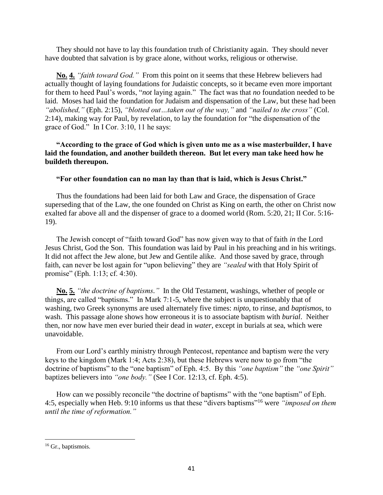They should not have to lay this foundation truth of Christianity again. They should never have doubted that salvation is by grace alone, without works, religious or otherwise.

**No. 4.** *"faith toward God."* From this point on it seems that these Hebrew believers had actually thought of laying foundations for Judaistic concepts, so it became even more important for them to heed Paul's words, "*not* laying again." The fact was that *no* foundation needed to be laid. Moses had laid the foundation for Judaism and dispensation of the Law, but these had been *"abolished,"* (Eph. 2:15), *"blotted out…taken out of the way,"* and *"nailed to the cross"* (Col. 2:14), making way for Paul, by revelation, to lay the foundation for "the dispensation of the grace of God." In I Cor. 3:10, 11 he says:

# **"According to the grace of God which is given unto me as a wise masterbuilder, I have laid the foundation, and another buildeth thereon. But let every man take heed how he buildeth thereupon.**

# **"For other foundation can no man lay than that is laid, which is Jesus Christ."**

Thus the foundations had been laid for both Law and Grace, the dispensation of Grace superseding that of the Law, the one founded on Christ as King on earth, the other on Christ now exalted far above all and the dispenser of grace to a doomed world (Rom. 5:20, 21; II Cor. 5:16- 19).

The Jewish concept of "faith toward God" has now given way to that of faith *in* the Lord Jesus Christ, God the Son. This foundation was laid by Paul in his preaching and in his writings. It did not affect the Jew alone, but Jew and Gentile alike. And those saved by grace, through faith, can never be lost again for "upon believing" they are *"sealed* with that Holy Spirit of promise" (Eph. 1:13; cf. 4:30).

**No. 5.** *"the doctrine of baptisms."* In the Old Testament, washings, whether of people or things, are called "baptisms." In Mark 7:1-5, where the subject is unquestionably that of washing, two Greek synonyms are used alternately five times: *nipto*, to rinse, and *baptismos*, to wash. This passage alone shows how erroneous it is to associate baptism with *burial*. Neither then, nor now have men ever buried their dead in *water*, except in burials at sea, which were unavoidable.

From our Lord's earthly ministry through Pentecost, repentance and baptism were the very keys to the kingdom (Mark 1:4; Acts 2:38), but these Hebrews were now to go from "the doctrine of baptisms" to the "one baptism" of Eph. 4:5. By this *"one baptism"* the *"one Spirit"* baptizes believers into *"one body."* (See I Cor. 12:13, cf. Eph. 4:5).

How can we possibly reconcile "the doctrine of baptisms" with the "one baptism" of Eph. 4:5, especially when Heb. 9:10 informs us that these "divers baptisms"<sup>16</sup> were *"imposed on them until the time of reformation."*

 $\overline{\phantom{a}}$ 

<sup>&</sup>lt;sup>16</sup> Gr., baptismois.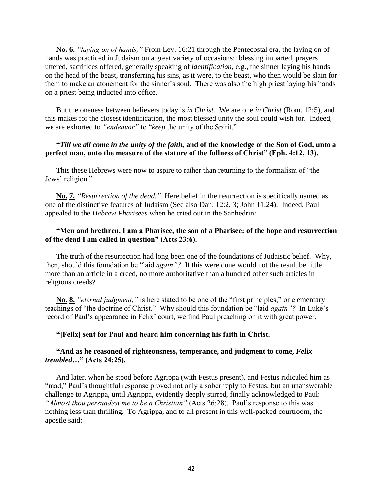**No. 6.** *"laying on of hands,"* From Lev. 16:21 through the Pentecostal era, the laying on of hands was practiced in Judaism on a great variety of occasions: blessing imparted, prayers uttered, sacrifices offered, generally speaking of *identification*, e.g., the sinner laying his hands on the head of the beast, transferring his sins, as it were, to the beast, who then would be slain for them to make an atonement for the sinner's soul. There was also the high priest laying his hands on a priest being inducted into office.

But the oneness between believers today is *in Christ.* We are one *in Christ* (Rom. 12:5), and this makes for the closest identification, the most blessed unity the soul could wish for. Indeed, we are exhorted to *"endeavor"* to "*keep* the unity of the Spirit,"

# **"***Till we all come in the unity of the faith,* **and of the knowledge of the Son of God, unto a perfect man, unto the measure of the stature of the fullness of Christ" (Eph. 4:12, 13).**

This these Hebrews were now to aspire to rather than returning to the formalism of "the Jews' religion."

**No. 7.** *"Resurrection of the dead."* Here belief in the resurrection is specifically named as one of the distinctive features of Judaism (See also Dan. 12:2, 3; John 11:24). Indeed, Paul appealed to the *Hebrew Pharisees* when he cried out in the Sanhedrin:

# **"Men and brethren, I am a Pharisee, the son of a Pharisee: of the hope and resurrection of the dead I am called in question" (Acts 23:6).**

The truth of the resurrection had long been one of the foundations of Judaistic belief. Why, then, should this foundation be "laid *again"?* If this were done would not the result be little more than an article in a creed, no more authoritative than a hundred other such articles in religious creeds?

**No. 8.** *"eternal judgment,"* is here stated to be one of the "first principles," or elementary teachings of "the doctrine of Christ." Why should this foundation be "laid *again"?* In Luke's record of Paul's appearance in Felix' court, we find Paul preaching on it with great power.

#### **"[Felix] sent for Paul and heard him concerning his faith in Christ.**

#### **"And as he reasoned of righteousness, temperance, and judgment to come,** *Felix trembled***…" (Acts 24:25).**

And later, when he stood before Agrippa (with Festus present), and Festus ridiculed him as "mad," Paul's thoughtful response proved not only a sober reply to Festus, but an unanswerable challenge to Agrippa, until Agrippa, evidently deeply stirred, finally acknowledged to Paul: *"Almost thou persuadest me to be a Christian"* (Acts 26:28). Paul's response to this was nothing less than thrilling. To Agrippa, and to all present in this well-packed courtroom, the apostle said: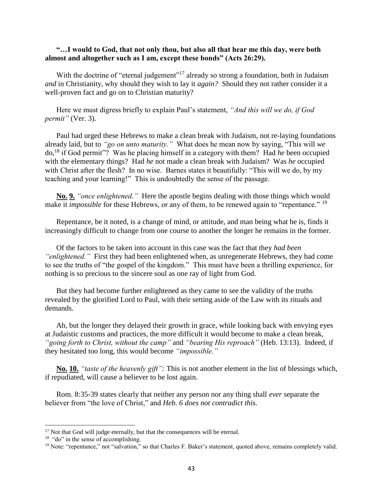# **"…I would to God, that not only thou, but also all that hear me this day, were both almost and altogether such as I am, except these bonds" (Acts 26:29).**

With the doctrine of "eternal judgement"<sup>17</sup> already so strong a foundation, both in Judaism *and* in Christianity, why should they wish to lay it *again?* Should they not rather consider it a well-proven fact and go on to Christian maturity?

Here we must digress briefly to explain Paul's statement, *"And this will we do, if God permit"* (Ver. 3).

Paul had urged these Hebrews to make a clean break with Judaism, not re-laying foundations already laid, but to *"go on unto maturity."* What does he mean now by saying, "This will *we* do,<sup>18</sup> if God permit"? Was he placing himself in a category with them? Had *he* been occupied with the elementary things? Had *he* not made a clean break with Judaism? Was *he* occupied with Christ after the flesh? In no wise. Barnes states it beautifully: "This will we do, by my teaching and your learning!" This is undoubtedly the sense of the passage.

**No. 9.** *"once enlightened."* Here the apostle begins dealing with those things which would make it *impossible* for these Hebrews, or any of them, to be renewed again to "repentance." <sup>19</sup>

Repentance, be it noted, is a change of mind, or attitude, and man being what he is, finds it increasingly difficult to change from one course to another the longer he remains in the former.

Of the factors to be taken into account in this case was the fact that they *had been "enlightened."* First they had been enlightened when, as unregenerate Hebrews, they had come to see the truths of "the gospel of the kingdom." This must have been a thrilling experience, for nothing is so precious to the sincere soul as one ray of light from God.

But they had become further enlightened as they came to see the validity of the truths revealed by the glorified Lord to Paul, with their setting aside of the Law with its rituals and demands.

Ah, but the longer they delayed their growth in grace, while looking back with envying eyes at Judaistic customs and practices, the more difficult it would become to make a clean break, *"going forth to Christ, without the camp"* and *"bearing His reproach"* (Heb. 13:13). Indeed, if they hesitated too long, this would become *"impossible."*

**No. 10.** *"taste of the heavenly gift":* This is not another element in the list of blessings which, if repudiated, will cause a believer to be lost again.

Rom. 8:35-39 states clearly that neither any person nor any thing shall *ever* separate the believer from "the love of Christ," and *Heb. 6 does not contradict this.*

 $\overline{\phantom{a}}$ 

<sup>&</sup>lt;sup>17</sup> Not that God will judge eternally, but that the consequences will be eternal.

<sup>&</sup>lt;sup>18</sup> "do" in the sense of accomplishing.

<sup>&</sup>lt;sup>19</sup> Note: "repentance," not "salvation," so that Charles F. Baker's statement, quoted above, remains completely valid.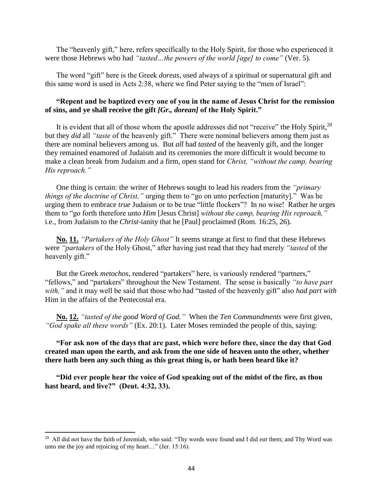The "heavenly gift," here, refers specifically to the Holy Spirit, for those who experienced it were those Hebrews who had *"tasted…the powers of the world [age] to come"* (Ver. 5).

The word "gift" here is the Greek *doreas*, used always of a spiritual or supernatural gift and this same word is used in Acts 2:38, where we find Peter saying to the "men of Israel":

# **"Repent and be baptized every one of you in the name of Jesus Christ for the remission of sins, and ye shall receive the gift** *[Gr., dorean]* **of the Holy Spirit."**

It is evident that all of those whom the apostle addresses did not "receive" the Holy Spirit, $^{20}$ but they *did* all *"taste* of the heavenly gift." There were nominal believers among them just as there are nominal believers among us. But *all* had *tasted* of the heavenly gift, and the longer they remained enamored of Judaism and its ceremonies the more difficult it would become to make a clean break from Judaism and a firm, open stand for *Christ, "without the camp, bearing His reproach."*

One thing is certain: the writer of Hebrews sought to lead his readers from the *"primary things of the doctrine of Christ,"* urging them to "go on unto perfection [maturity]." Was he urging them to embrace *true* Judaism or to be true "little flockers"? In no wise! Rather he urges them to "go forth therefore unto *Him* [Jesus Christ] *without the camp, bearing His reproach,"* i.e., from Judaism to the *Christ*-ianity that he [Paul] proclaimed (Rom. 16:25, 26).

**No. 11.** *"Partakers of the Holy Ghost"* It seems strange at first to find that these Hebrews were *"partakers* of the Holy Ghost," after having just read that they had merely *"tasted* of the heavenly gift."

But the Greek *metochos*, rendered "partakers" here, is variously rendered "partners," "fellows," and "partakers" throughout the New Testament. The sense is basically *"to have part with,"* and it may well be said that those who had "tasted of the heavenly gift" also *had part with* Him in the affairs of the Pentecostal era.

**No. 12.** *"tasted of the good Word of God."* When the *Ten Commandments* were first given, *"God spake all these words"* (Ex. 20:1). Later Moses reminded the people of this, saying:

**"For ask now of the days that are past, which were before thee, since the day that God created man upon the earth, and ask from the one side of heaven unto the other, whether there hath been any such thing as this great thing is, or hath been heard like it?**

**"Did ever people hear the voice of God speaking out of the midst of the fire, as thou hast heard, and live?" (Deut. 4:32, 33).**

 $\overline{a}$ 

<sup>20</sup> All did not have the faith of Jeremiah, who said: "Thy words were found and I did *eat* them; and Thy Word was unto me the joy and rejoicing of my heart…" (Jer. 15:16).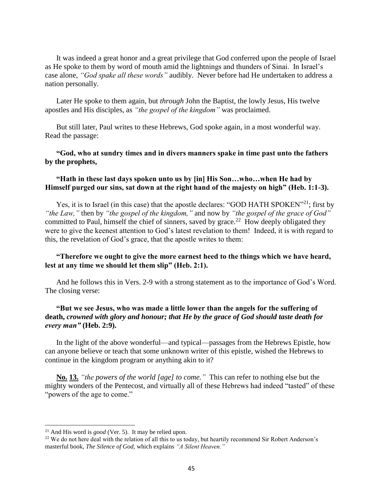It was indeed a great honor and a great privilege that God conferred upon the people of Israel as He spoke to them by word of mouth amid the lightnings and thunders of Sinai. In Israel's case alone, *"God spake all these words"* audibly. Never before had He undertaken to address a nation personally.

Later He spoke to them again, but *through* John the Baptist, the lowly Jesus, His twelve apostles and His disciples, as *"the gospel of the kingdom"* was proclaimed.

But still later, Paul writes to these Hebrews, God spoke again, in a most wonderful way. Read the passage:

**"God, who at sundry times and in divers manners spake in time past unto the fathers by the prophets,**

# **"Hath in these last days spoken unto us by [in] His Son…who…when He had by Himself purged our sins, sat down at the right hand of the majesty on high" (Heb. 1:1-3).**

Yes, it is to Israel (in this case) that the apostle declares: "GOD HATH SPOKEN"<sup>21</sup>; first by *"the Law,"* then by *"the gospel of the kingdom,"* and now by *"the gospel of the grace of God"* committed to Paul, himself the chief of sinners, saved by grace.<sup>22</sup> How deeply obligated they were to give the keenest attention to God's latest revelation to them! Indeed, it is with regard to this, the revelation of God's grace, that the apostle writes to them:

## **"Therefore we ought to give the more earnest heed to the things which we have heard, lest at any time we should let them slip" (Heb. 2:1).**

And he follows this in Vers. 2-9 with a strong statement as to the importance of God's Word. The closing verse:

# **"But we see Jesus, who was made a little lower than the angels for the suffering of death,** *crowned with glory and honour; that He by the grace of God should taste death for every man"* **(Heb. 2:9).**

In the light of the above wonderful—and typical—passages from the Hebrews Epistle, how can anyone believe or teach that some unknown writer of this epistle, wished the Hebrews to continue in the kingdom program or anything akin to it?

**No. 13.** *"the powers of the world [age] to come."* This can refer to nothing else but the mighty wonders of the Pentecost, and virtually all of these Hebrews had indeed "tasted" of these "powers of the age to come."

 $\overline{\phantom{a}}$ 

<sup>21</sup> And His word is *good* (Ver. 5). It may be relied upon.

<sup>&</sup>lt;sup>22</sup> We do not here deal with the relation of all this to us today, but heartily recommend Sir Robert Anderson's masterful book, *The Silence of God,* which explains *"A Silent Heaven."*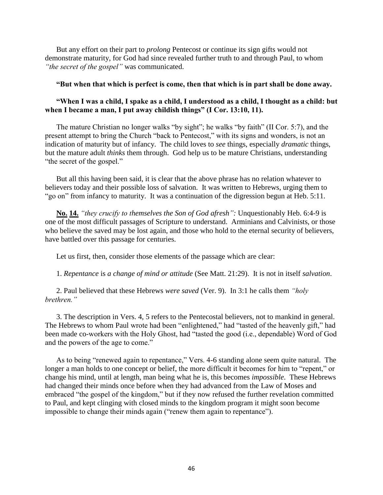But any effort on their part to *prolong* Pentecost or continue its sign gifts would not demonstrate maturity, for God had since revealed further truth to and through Paul, to whom *"the secret of the gospel"* was communicated.

#### **"But when that which is perfect is come, then that which is in part shall be done away.**

# **"When I was a child, I spake as a child, I understood as a child, I thought as a child: but when I became a man, I put away childish things" (I Cor. 13:10, 11).**

The mature Christian no longer walks "by sight"; he walks "by faith" (II Cor. 5:7), and the present attempt to bring the Church "back to Pentecost," with its signs and wonders, is not an indication of maturity but of infancy. The child loves to *see* things, especially *dramatic* things, but the mature adult *thinks* them through. God help us to be mature Christians, understanding "the secret of the gospel."

But all this having been said, it is clear that the above phrase has no relation whatever to believers today and their possible loss of salvation. It was written to Hebrews, urging them to "go on" from infancy to maturity. It was a continuation of the digression begun at Heb. 5:11.

**No. 14.** *"they crucify to themselves the Son of God afresh":* Unquestionably Heb. 6:4-9 is one of the most difficult passages of Scripture to understand. Arminians and Calvinists, or those who believe the saved may be lost again, and those who hold to the eternal security of believers, have battled over this passage for centuries.

Let us first, then, consider those elements of the passage which are clear:

1. *Repentance* is *a change of mind or attitude* (See Matt. 21:29). It is not in itself *salvation*.

2. Paul believed that these Hebrews *were saved* (Ver. 9). In 3:1 he calls them *"holy brethren."*

3. The description in Vers. 4, 5 refers to the Pentecostal believers, not to mankind in general. The Hebrews to whom Paul wrote had been "enlightened," had "tasted of the heavenly gift," had been made co-workers with the Holy Ghost, had "tasted the good (i.e., dependable) Word of God and the powers of the age to come."

As to being "renewed again to repentance," Vers. 4-6 standing alone seem quite natural. The longer a man holds to one concept or belief, the more difficult it becomes for him to "repent," or change his mind, until at length, man being what he is, this becomes *impossible*. These Hebrews had changed their minds once before when they had advanced from the Law of Moses and embraced "the gospel of the kingdom," but if they now refused the further revelation committed to Paul, and kept clinging with closed minds to the kingdom program it might soon become impossible to change their minds again ("renew them again to repentance").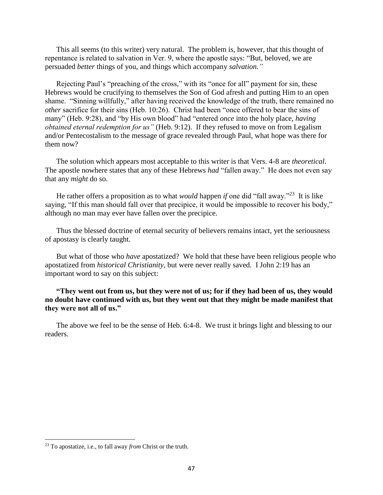This all seems (to this writer) very natural. The problem is, however, that this thought of repentance is related to salvation in Ver. 9, where the apostle says: "But, beloved, we are persuaded *better* things of you, and things which accompany *salvation."*

Rejecting Paul's "preaching of the cross," with its "once for all" payment for sin, these Hebrews would be crucifying to themselves the Son of God afresh and putting Him to an open shame. "Sinning willfully," after having received the knowledge of the truth, there remained no *other* sacrifice for their sins (Heb. 10:26). Christ had been "once offered to bear the sins of many" (Heb. 9:28), and "by His own blood" had "entered *once* into the holy place, *having obtained eternal redemption for us"* (Heb. 9:12). If they refused to move on from Legalism and/or Pentecostalism to the message of grace revealed through Paul, what hope was there for them now?

The solution which appears most acceptable to this writer is that Vers. 4-8 are *theoretical*. The apostle nowhere states that any of these Hebrews *had* "fallen away." He does not even say that any *might* do so.

He rather offers a proposition as to what *would* happen *if* one did "fall away."<sup>23</sup> It is like saying, "If this man should fall over that precipice, it would be impossible to recover his body," although no man may ever have fallen over the precipice.

Thus the blessed doctrine of eternal security of believers remains intact, yet the seriousness of apostasy is clearly taught.

But what of those who *have* apostatized? We hold that these have been religious people who apostatized from *historical Christianity*, but were never really saved. I John 2:19 has an important word to say on this subject:

**"They went out from us, but they were not of us; for if they had been of us, they would no doubt have continued with us, but they went out that they might be made manifest that they were not all of us."**

The above we feel to be the sense of Heb. 6:4-8. We trust it brings light and blessing to our readers.

 $\overline{\phantom{a}}$ 

<sup>23</sup> To apostatize, i.e., to fall away *from* Christ or the truth.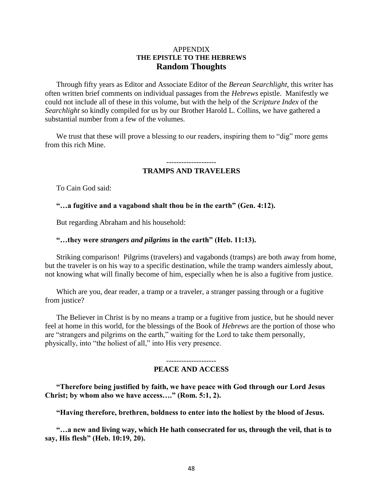# APPENDIX **THE EPISTLE TO THE HEBREWS Random Thoughts**

Through fifty years as Editor and Associate Editor of the *Berean Searchlight*, this writer has often written brief comments on individual passages from the *Hebrews* epistle. Manifestly we could not include all of these in this volume, but with the help of the *Scripture Index* of the *Searchlight* so kindly compiled for us by our Brother Harold L. Collins, we have gathered a substantial number from a few of the volumes.

We trust that these will prove a blessing to our readers, inspiring them to "dig" more gems from this rich Mine.

#### -------------------- **TRAMPS AND TRAVELERS**

To Cain God said:

**"…a fugitive and a vagabond shalt thou be in the earth" (Gen. 4:12).**

But regarding Abraham and his household:

#### **"…they were** *strangers and pilgrims* **in the earth" (Heb. 11:13).**

Striking comparison! Pilgrims (travelers) and vagabonds (tramps) are both away from home, but the traveler is on his way to a specific destination, while the tramp wanders aimlessly about, not knowing what will finally become of him, especially when he is also a fugitive from justice.

Which are you, dear reader, a tramp or a traveler, a stranger passing through or a fugitive from justice?

The Believer in Christ is by no means a tramp or a fugitive from justice, but he should never feel at home in this world, for the blessings of the Book of *Hebrews* are the portion of those who are "strangers and pilgrims on the earth," waiting for the Lord to take them personally, physically, into "the holiest of all," into His very presence.

#### -------------------- **PEACE AND ACCESS**

**"Therefore being justified by faith, we have peace with God through our Lord Jesus Christ; by whom also we have access…." (Rom. 5:1, 2).**

**"Having therefore, brethren, boldness to enter into the holiest by the blood of Jesus.**

**"…a new and living way, which He hath consecrated for us, through the veil, that is to say, His flesh" (Heb. 10:19, 20).**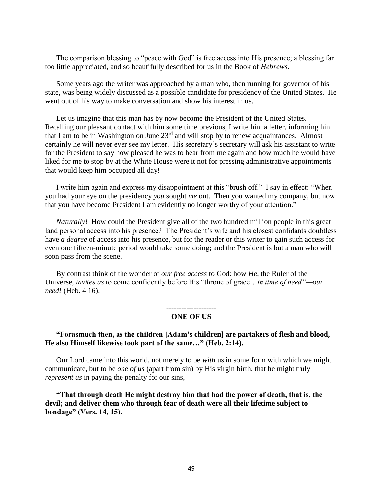The comparison blessing to "peace with God" is free access into His presence; a blessing far too little appreciated, and so beautifully described for us in the Book of *Hebrews*.

Some years ago the writer was approached by a man who, then running for governor of his state, was being widely discussed as a possible candidate for presidency of the United States. He went out of his way to make conversation and show his interest in us.

Let us imagine that this man has by now become the President of the United States. Recalling our pleasant contact with him some time previous, I write him a letter, informing him that I am to be in Washington on June 23rd and will stop by to renew acquaintances. Almost certainly he will never ever see my letter. His secretary's secretary will ask his assistant to write for the President to say how pleased he was to hear from me again and how much he would have liked for me to stop by at the White House were it not for pressing administrative appointments that would keep him occupied all day!

I write him again and express my disappointment at this "brush off." I say in effect: "When you had your eye on the presidency *you* sought *me* out. Then you wanted my company, but now that you have become President I am evidently no longer worthy of your attention."

*Naturally!* How could the President give all of the two hundred million people in this great land personal access into his presence? The President's wife and his closest confidants doubtless have *a degree* of access into his presence, but for the reader or this writer to gain such access for even one fifteen-minute period would take some doing; and the President is but a man who will soon pass from the scene.

By contrast think of the wonder of *our free access* to God: how *He*, the Ruler of the Universe, *invites us* to come confidently before His "throne of grace…*in time of need"—our need!* (Heb. 4:16).

#### -------------------- **ONE OF US**

#### **"Forasmuch then, as the children [Adam's children] are partakers of flesh and blood, He also Himself likewise took part of the same…" (Heb. 2:14).**

Our Lord came into this world, not merely to be *with* us in some form with which we might communicate, but to be *one of us* (apart from sin) by His virgin birth, that he might truly *represent us* in paying the penalty for our sins,

**"That through death He might destroy him that had the power of death, that is, the devil; and deliver them who through fear of death were all their lifetime subject to bondage" (Vers. 14, 15).**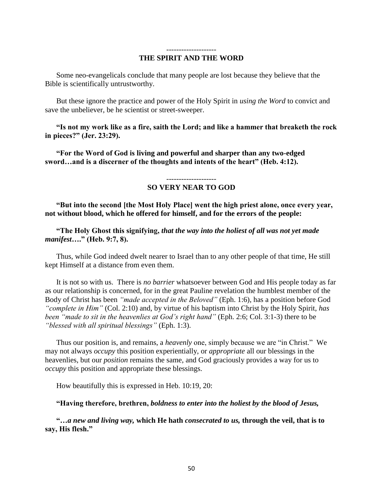#### -------------------- **THE SPIRIT AND THE WORD**

Some neo-evangelicals conclude that many people are lost because they believe that the Bible is scientifically untrustworthy.

But these ignore the practice and power of the Holy Spirit in *using the Word* to convict and save the unbeliever, be he scientist or street-sweeper.

**"Is not my work like as a fire, saith the Lord; and like a hammer that breaketh the rock in pieces?" (Jer. 23:29).**

**"For the Word of God is living and powerful and sharper than any two-edged sword…and is a discerner of the thoughts and intents of the heart" (Heb. 4:12).**

#### -------------------- **SO VERY NEAR TO GOD**

**"But into the second [the Most Holy Place] went the high priest alone, once every year, not without blood, which he offered for himself, and for the errors of the people:**

**"The Holy Ghost this signifying,** *that the way into the holiest of all was not yet made manifest***…." (Heb. 9:7, 8).**

Thus, while God indeed dwelt nearer to Israel than to any other people of that time, He still kept Himself at a distance from even them.

It is not so with us. There is *no barrier* whatsoever between God and His people today as far as our relationship is concerned, for in the great Pauline revelation the humblest member of the Body of Christ has been *"made accepted in the Beloved"* (Eph. 1:6), has a position before God *"complete in Him"* (Col. 2:10) and, by virtue of his baptism into Christ by the Holy Spirit, *has been "made to sit in the heavenlies at God's right hand"* (Eph. 2:6; Col. 3:1-3) there to be *"blessed with all spiritual blessings"* (Eph. 1:3).

Thus our position is, and remains, a *heavenly* one, simply because we are "in Christ." We may not always *occupy* this position experientially, or *appropriate* all our blessings in the heavenlies, but our *position* remains the same, and God graciously provides a way for us to *occupy* this position and appropriate these blessings.

How beautifully this is expressed in Heb. 10:19, 20:

**"Having therefore, brethren,** *boldness to enter into the holiest by the blood of Jesus,*

**"…***a new and living way,* **which He hath** *consecrated to us,* **through the veil, that is to say, His flesh."**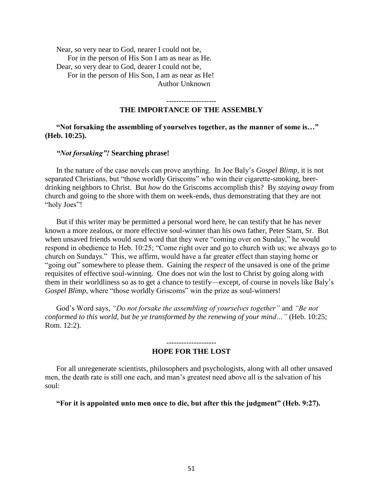Near, so very near to God, nearer I could not be, For in the person of His Son I am as near as He. Dear, so very dear to God, dearer I could not be, For in the person of His Son, I am as near as He! Author Unknown

--------------------

#### **THE IMPORTANCE OF THE ASSEMBLY**

**"Not forsaking the assembling of yourselves together, as the manner of some is…" (Heb. 10:25).**

#### *"Not forsaking"!* **Searching phrase!**

In the nature of the case novels can prove anything. In Joe Baly's *Gospel Blimp,* it is not separated Christians, but "those worldly Griscoms" who win their cigarette-smoking, beerdrinking neighbors to Christ. But *how* do the Griscoms accomplish this? By *staying away* from church and going to the shore with them on week-ends, thus demonstrating that they are not "holy Joes"!

But if this writer may be permitted a personal word here, he can testify that he has never known a more zealous, or more effective soul-winner than his own father, Peter Stam, Sr. But when unsaved friends would send word that they were "coming over on Sunday," he would respond in obedience to Heb. 10:25; "Come right over and go to church with us; we always go to church on Sundays." This, we affirm, would have a far greater effect than staying home or "going out" somewhere to please them. Gaining the *respect* of the unsaved is one of the prime requisites of effective soul-winning. One does not win the lost to Christ by going along with them in their worldliness so as to get a chance to testify—except, of course in novels like Baly's *Gospel Blimp*, where "those worldly Griscoms" win the prize as soul-winners!

God's Word says, *"Do not forsake the assembling of yourselves together"* and *"Be not conformed to this world, but be ye transformed by the renewing of your mind…"* (Heb. 10:25; Rom. 12:2).

#### **HOPE FOR THE LOST**

For all unregenerate scientists, philosophers and psychologists, along with all other unsaved men, the death rate is still one each, and man's greatest need above all is the salvation of his soul:

**"For it is appointed unto men once to die, but after this the judgment" (Heb. 9:27).**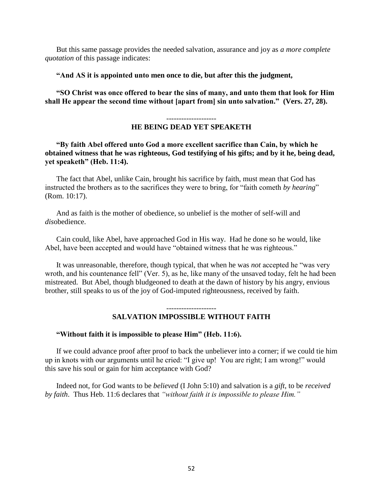But this same passage provides the needed salvation, assurance and joy as *a more complete quotation* of this passage indicates:

#### **"And AS it is appointed unto men once to die, but after this the judgment,**

**"SO Christ was once offered to bear the sins of many, and unto them that look for Him shall He appear the second time without [apart from] sin unto salvation." (Vers. 27, 28).** 

# **HE BEING DEAD YET SPEAKETH**

**"By faith Abel offered unto God a more excellent sacrifice than Cain, by which he obtained witness that he was righteous, God testifying of his gifts; and by it he, being dead, yet speaketh" (Heb. 11:4).** 

The fact that Abel, unlike Cain, brought his sacrifice by faith, must mean that God has instructed the brothers as to the sacrifices they were to bring, for "faith cometh *by hearing*" (Rom. 10:17).

And as faith is the mother of obedience, so unbelief is the mother of self-will and *dis*obedience.

Cain could, like Abel, have approached God in His way. Had he done so he would, like Abel, have been accepted and would have "obtained witness that he was righteous."

It was unreasonable, therefore, though typical, that when he was *not* accepted he "was very wroth, and his countenance fell" (Ver. 5), as he, like many of the unsaved today, felt he had been mistreated. But Abel, though bludgeoned to death at the dawn of history by his angry, envious brother, still speaks to us of the joy of God-imputed righteousness, received by faith.

#### --------------------

# **SALVATION IMPOSSIBLE WITHOUT FAITH**

## **"Without faith it is impossible to please Him" (Heb. 11:6).**

If we could advance proof after proof to back the unbeliever into a corner; if we could tie him up in knots with our arguments until he cried: "I give up! You are right; I am wrong!" would this save his soul or gain for him acceptance with God?

Indeed not, for God wants to be *believed* (I John 5:10) and salvation is a *gift*, to be *received by faith*. Thus Heb. 11:6 declares that *"without faith it is impossible to please Him."*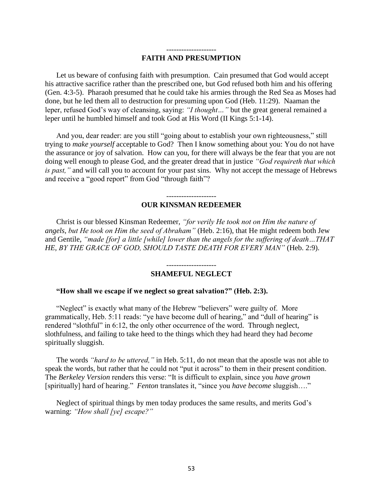#### -------------------- **FAITH AND PRESUMPTION**

Let us beware of confusing faith with presumption. Cain presumed that God would accept his attractive sacrifice rather than the prescribed one, but God refused both him and his offering (Gen. 4:3-5). Pharaoh presumed that he could take his armies through the Red Sea as Moses had done, but he led them all to destruction for presuming upon God (Heb. 11:29). Naaman the leper, refused God's way of cleansing, saying: *"I thought…"* but the great general remained a leper until he humbled himself and took God at His Word (II Kings 5:1-14).

And you, dear reader: are you still "going about to establish your own righteousness," still trying to *make yourself* acceptable to God? Then I know something about you: You do not have the assurance or joy of salvation. How can you, for there will always be the fear that you are not doing well enough to please God, and the greater dread that in justice *"God requireth that which is past,"* and will call you to account for your past sins. Why not accept the message of Hebrews and receive a "good report" from God "through faith"?

#### -------------------- **OUR KINSMAN REDEEMER**

Christ is our blessed Kinsman Redeemer, *"for verily He took not on Him the nature of angels, but He took on Him the seed of Abraham"* (Heb. 2:16), that He might redeem both Jew and Gentile, *"made [for] a little [while] lower than the angels for the suffering of death…THAT HE, BY THE GRACE OF GOD, SHOULD TASTE DEATH FOR EVERY MAN"* (Heb. 2:9).

#### -------------------- **SHAMEFUL NEGLECT**

#### **"How shall we escape if we neglect so great salvation?" (Heb. 2:3).**

"Neglect" is exactly what many of the Hebrew "believers" were guilty of. More grammatically, Heb. 5:11 reads: "ye have become dull of hearing," and "dull of hearing" is rendered "slothful" in 6:12, the only other occurrence of the word. Through neglect, slothfulness, and failing to take heed to the things which they had heard they had *become* spiritually sluggish.

The words *"hard to be uttered,"* in Heb. 5:11, do not mean that the apostle was not able to speak the words, but rather that he could not "put it across" to them in their present condition. The *Berkeley Version* renders this verse: "It is difficult to explain, since you *have grown* [spiritually] hard of hearing." *Fenton* translates it, "since you *have become* sluggish…."

Neglect of spiritual things by men today produces the same results, and merits God's warning: *"How shall [ye] escape?"*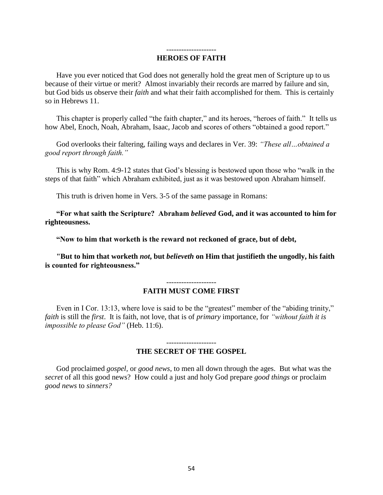#### -------------------- **HEROES OF FAITH**

Have you ever noticed that God does not generally hold the great men of Scripture up to us because of their virtue or merit? Almost invariably their records are marred by failure and sin, but God bids us observe their *faith* and what their faith accomplished for them. This is certainly so in Hebrews 11.

This chapter is properly called "the faith chapter," and its heroes, "heroes of faith." It tells us how Abel, Enoch, Noah, Abraham, Isaac, Jacob and scores of others "obtained a good report."

God overlooks their faltering, failing ways and declares in Ver. 39: *"These all…obtained a good report through faith."*

This is why Rom. 4:9-12 states that God's blessing is bestowed upon those who "walk in the steps of that faith" which Abraham exhibited, just as it was bestowed upon Abraham himself.

This truth is driven home in Vers. 3-5 of the same passage in Romans:

**"For what saith the Scripture? Abraham** *believed* **God, and it was accounted to him for righteousness.** 

**"Now to him that worketh is the reward not reckoned of grace, but of debt,**

**"But to him that worketh** *not***, but** *believeth* **on Him that justifieth the ungodly, his faith is counted for righteousness."** 

#### -------------------- **FAITH MUST COME FIRST**

Even in I Cor. 13:13, where love is said to be the "greatest" member of the "abiding trinity," *faith* is still the *first*. It is faith, not love, that is of *primary* importance, for *"without faith it is impossible to please God"* (Heb. 11:6).

#### **THE SECRET OF THE GOSPEL**

God proclaimed *gospel,* or *good news*, to men all down through the ages. But what was the *secret* of all this good news? How could a just and holy God prepare *good things* or proclaim *good news* to *sinners?*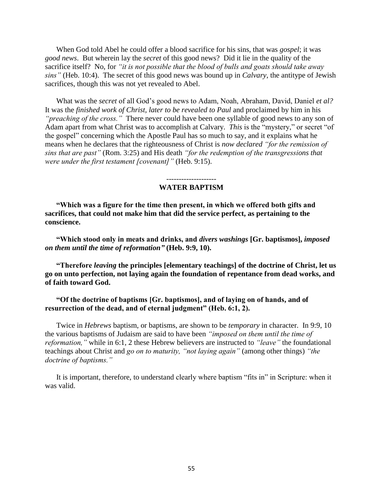When God told Abel he could offer a blood sacrifice for his sins, that was *gospel*; it was *good news*. But wherein lay the *secret* of this good news? Did it lie in the quality of the sacrifice itself? No, for *"it is not possible that the blood of bulls and goats should take away sins"* (Heb. 10:4). The secret of this good news was bound up in *Calvary*, the antitype of Jewish sacrifices, though this was not yet revealed to Abel.

What was the *secret* of all God's good news to Adam, Noah, Abraham, David, Daniel *et al?* It was the *finished work of Christ, later to be revealed to Paul* and proclaimed by him in his *"preaching of the cross."* There never could have been one syllable of good news to any son of Adam apart from what Christ was to accomplish at Calvary. *This* is the "mystery," or secret "of the gospel" concerning which the Apostle Paul has so much to say, and it explains what he means when he declares that the righteousness of Christ is *now declared "for the remission of sins that are past"* (Rom. 3:25) and His death *"for the redemption of the transgressions that were under the first testament [covenant]"* (Heb. 9:15).

> -------------------- **WATER BAPTISM**

**"Which was a figure for the time then present, in which we offered both gifts and sacrifices, that could not make him that did the service perfect, as pertaining to the conscience.** 

**"Which stood only in meats and drinks, and** *divers washings* **[Gr. baptismos],** *imposed on them until the time of reformation"* **(Heb. 9:9, 10).** 

**"Therefore** *leaving* **the principles [elementary teachings] of the doctrine of Christ, let us go on unto perfection, not laying again the foundation of repentance from dead works, and of faith toward God.**

**"Of the doctrine of baptisms [Gr. baptismos], and of laying on of hands, and of resurrection of the dead, and of eternal judgment" (Heb. 6:1, 2).**

Twice in *Hebrews* baptism, or baptisms, are shown to be *temporary* in character. In 9:9, 10 the various baptisms of Judaism are said to have been *"imposed on them until the time of reformation,"* while in 6:1, 2 these Hebrew believers are instructed to *"leave"* the foundational teachings about Christ and *go on to maturity, "not laying again"* (among other things) *"the doctrine of baptisms."*

It is important, therefore, to understand clearly where baptism "fits in" in Scripture: when it was valid.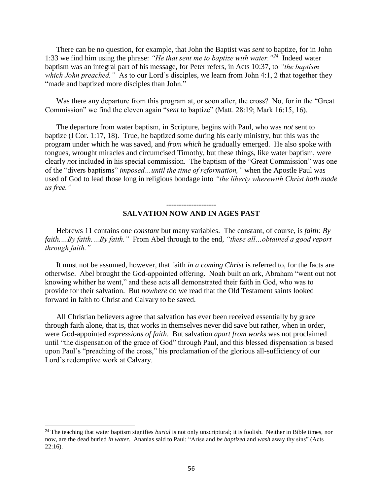There can be no question, for example, that John the Baptist was *sent* to baptize, for in John 1:33 we find him using the phrase: *"He that sent me to baptize with water."<sup>24</sup>* Indeed water baptism was an integral part of his message, for Peter refers, in Acts 10:37, to *"the baptism*  which John preached." As to our Lord's disciples, we learn from John 4:1, 2 that together they "made and baptized more disciples than John."

Was there any departure from this program at, or soon after, the cross? No, for in the "Great Commission" we find the eleven again "*sent* to baptize" (Matt. 28:19; Mark 16:15, 16).

The departure from water baptism, in Scripture, begins with Paul, who was *not* sent to baptize (I Cor. 1:17, 18). True, he baptized some during his early ministry, but this was the program under which he was saved, and *from which* he gradually emerged. He also spoke with tongues, wrought miracles and circumcised Timothy, but these things, like water baptism, were clearly *not* included in his special commission. The baptism of the "Great Commission" was one of the "divers baptisms" *imposed…until the time of reformation,"* when the Apostle Paul was used of God to lead those long in religious bondage into *"the liberty wherewith Christ hath made us free."*

#### -------------------- **SALVATION NOW AND IN AGES PAST**

Hebrews 11 contains one *constant* but many variables. The constant, of course, is *faith: By faith.…By faith.…By faith."* From Abel through to the end, *"these all…obtained a good report through faith."*

It must not be assumed, however, that faith *in a coming Christ* is referred to, for the facts are otherwise. Abel brought the God-appointed offering. Noah built an ark, Abraham "went out not knowing whither he went," and these acts all demonstrated their faith in God, who was to provide for their salvation. But *nowhere* do we read that the Old Testament saints looked forward in faith to Christ and Calvary to be saved.

All Christian believers agree that salvation has ever been received essentially by grace through faith alone, that is, that works in themselves never did save but rather, when in order, were God-appointed *expressions of faith*. But salvation *apart from works* was not proclaimed until "the dispensation of the grace of God" through Paul, and this blessed dispensation is based upon Paul's "preaching of the cross," his proclamation of the glorious all-sufficiency of our Lord's redemptive work at Calvary.

 $\overline{\phantom{a}}$ 

<sup>&</sup>lt;sup>24</sup> The teaching that water baptism signifies *burial* is not only unscriptural; it is foolish. Neither in Bible times, nor now, are the dead buried *in water*. Ananias said to Paul: "Arise and *be baptized* and *wash* away thy sins" (Acts 22:16).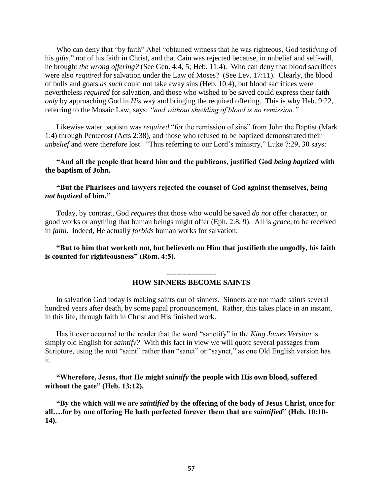Who can deny that "by faith" Abel "obtained witness that he was righteous, God testifying of his *gifts*," not of his faith in Christ, and that Cain was rejected because, in unbelief and self-will, he brought *the wrong offering?* (See Gen. 4:4, 5; Heb. 11:4). Who can deny that blood sacrifices were also *required* for salvation under the Law of Moses? (See Lev. 17:11). Clearly, the blood of bulls and goats *as such* could not take away sins (Heb. 10:4), but blood sacrifices were nevertheless *required* for salvation, and those who wished to be saved could express their faith *only* by approaching God in *His* way and bringing the required offering. This is why Heb. 9:22, referring to the Mosaic Law, says: *"and without shedding of blood is no remission."*

Likewise water baptism was *required* "for the remission of sins" from John the Baptist (Mark 1:4) through Pentecost (Acts 2:38), and those who refused to be baptized demonstrated their *unbelief* and were therefore lost. "Thus referring to our Lord's ministry," Luke 7:29, 30 says:

# **"And all the people that heard him and the publicans, justified God** *being baptized* **with the baptism of John.**

# **"But the Pharisees and lawyers rejected the counsel of God against themselves,** *being not baptized* **of him."**

Today, by contrast, God *requires* that those who would be saved *do not* offer character, or good works or anything that human beings might offer (Eph. 2:8, 9). All is *grace*, to be received in *faith*. Indeed, He actually *forbids* human works for salvation:

**"But to him that worketh** *not***, but believeth on Him that justifieth the ungodly, his faith is counted for righteousness" (Rom. 4:5).** 

#### --------------------

#### **HOW SINNERS BECOME SAINTS**

In salvation God today is making saints out of sinners. Sinners are not made saints several hundred years after death, by some papal pronouncement. Rather, this takes place in an instant, in this life, through faith in Christ and His finished work.

Has it ever occurred to the reader that the word "sanctify" in the *King James Version* is simply old English for *saintify?* With this fact in view we will quote several passages from Scripture, using the root "saint" rather than "sanct" or "saynct," as one Old English version has it.

# **"Wherefore, Jesus, that He might** *saintify* **the people with His own blood, suffered without the gate" (Heb. 13:12).**

**"By the which will we are** *saintified* **by the offering of the body of Jesus Christ, once for all….for by one offering He hath perfected forever them that are** *saintified***" (Heb. 10:10- 14).**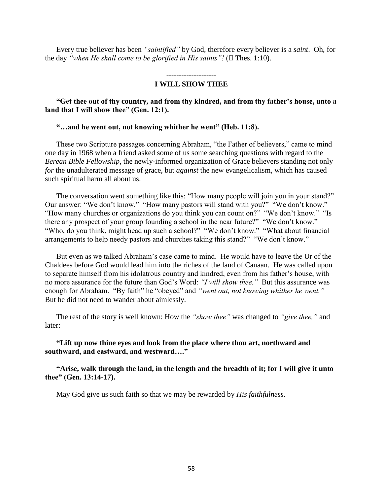Every true believer has been *"saintified"* by God, therefore every believer is a *saint*. Oh, for the day *"when He shall come to be glorified in His saints"!* (II Thes. 1:10).

#### -------------------- **I WILL SHOW THEE**

## **"Get thee out of thy country, and from thy kindred, and from thy father's house, unto a land that I will show thee" (Gen. 12:1).**

#### **"…and he went out, not knowing whither he went" (Heb. 11:8).**

These two Scripture passages concerning Abraham, "the Father of believers," came to mind one day in 1968 when a friend asked some of us some searching questions with regard to the *Berean Bible Fellowship*, the newly-informed organization of Grace believers standing not only *for* the unadulterated message of grace, but *against* the new evangelicalism, which has caused such spiritual harm all about us.

The conversation went something like this: "How many people will join you in your stand?" Our answer: "We don't know." "How many pastors will stand with you?" "We don't know." "How many churches or organizations do you think you can count on?" "We don't know." "Is there any prospect of your group founding a school in the near future?" "We don't know." "Who, do you think, might head up such a school?" "We don't know." "What about financial arrangements to help needy pastors and churches taking this stand?" "We don't know."

But even as we talked Abraham's case came to mind. He would have to leave the Ur of the Chaldees before God would lead him into the riches of the land of Canaan. He was called upon to separate himself from his idolatrous country and kindred, even from his father's house, with no more assurance for the future than God's Word: *"I will show thee."* But this assurance was enough for Abraham. "By faith" he "obeyed" and *"went out, not knowing whither he went."* But he did not need to wander about aimlessly.

The rest of the story is well known: How the *"show thee"* was changed to *"give thee,"* and later:

**"Lift up now thine eyes and look from the place where thou art, northward and southward, and eastward, and westward…."**

**"Arise, walk through the land, in the length and the breadth of it; for I will give it unto thee" (Gen. 13:14-17).**

May God give us such faith so that we may be rewarded by *His faithfulness*.